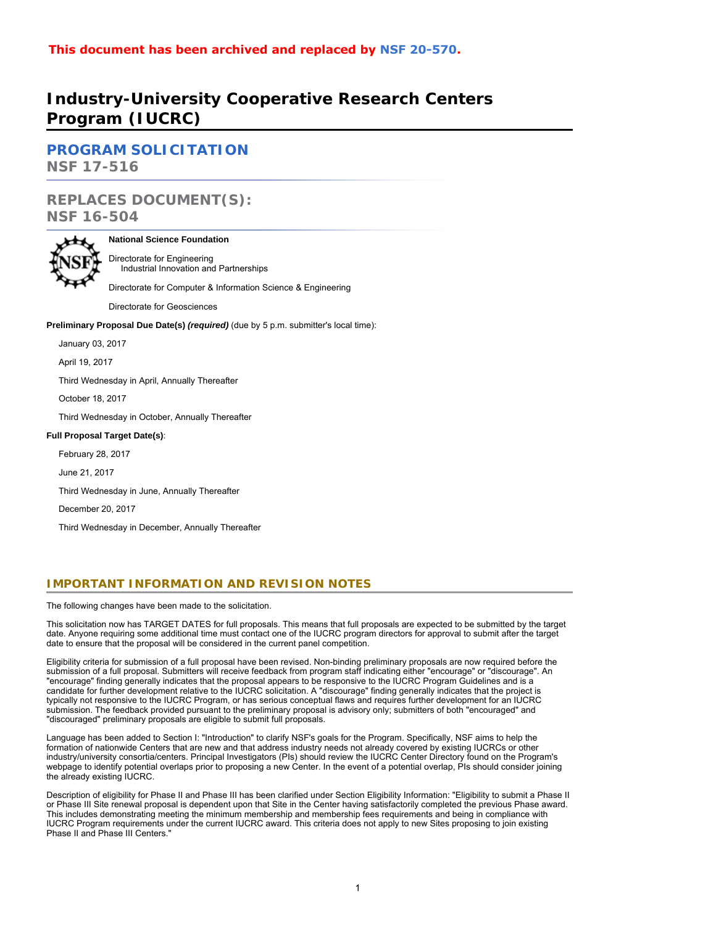# **Industry-University Cooperative Research Centers Program (IUCRC)**

**[PROGRAM SOLICITATION](#page-4-0) NSF 17-516**

# **REPLACES DOCUMENT(S): NSF 16-504**



# **National Science Foundation**

Directorate for Engineering Industrial Innovation and Partnerships

Directorate for Computer & Information Science & Engineering

Directorate for Geosciences

**Preliminary Proposal Due Date(s)** *(required)* (due by 5 p.m. submitter's local time):

January 03, 2017

April 19, 2017

Third Wednesday in April, Annually Thereafter

October 18, 2017

Third Wednesday in October, Annually Thereafter

# **Full Proposal Target Date(s)**:

February 28, 2017

June 21, 2017

Third Wednesday in June, Annually Thereafter

December 20, 2017

Third Wednesday in December, Annually Thereafter

# **IMPORTANT INFORMATION AND REVISION NOTES**

The following changes have been made to the solicitation.

This solicitation now has TARGET DATES for full proposals. This means that full proposals are expected to be submitted by the target date. Anyone requiring some additional time must contact one of the IUCRC program directors for approval to submit after the target date to ensure that the proposal will be considered in the current panel competition.

Eligibility criteria for submission of a full proposal have been revised. Non-binding preliminary proposals are now required before the submission of a full proposal. Submitters will receive feedback from program staff indicating either "encourage" or "discourage". An "encourage" finding generally indicates that the proposal appears to be responsive to the IUCRC Program Guidelines and is a candidate for further development relative to the IUCRC solicitation. A "discourage" finding generally indicates that the project is typically not responsive to the IUCRC Program, or has serious conceptual flaws and requires further development for an IUCRC submission. The feedback provided pursuant to the preliminary proposal is advisory only; submitters of both "encouraged" and "discouraged" preliminary proposals are eligible to submit full proposals.

Language has been added to Section I: "Introduction" to clarify NSF's goals for the Program. Specifically, NSF aims to help the formation of nationwide Centers that are new and that address industry needs not already covered by existing IUCRCs or other industry/university consortia/centers. Principal Investigators (PIs) should review the IUCRC Center Directory found on the Program's webpage to identify potential overlaps prior to proposing a new Center. In the event of a potential overlap, PIs should consider joining the already existing IUCRC.

Description of eligibility for Phase II and Phase III has been clarified under Section Eligibility Information: "Eligibility to submit a Phase II or Phase III Site renewal proposal is dependent upon that Site in the Center having satisfactorily completed the previous Phase award. This includes demonstrating meeting the minimum membership and membership fees requirements and being in compliance with IUCRC Program requirements under the current IUCRC award. This criteria does not apply to new Sites proposing to join existing Phase II and Phase III Centers."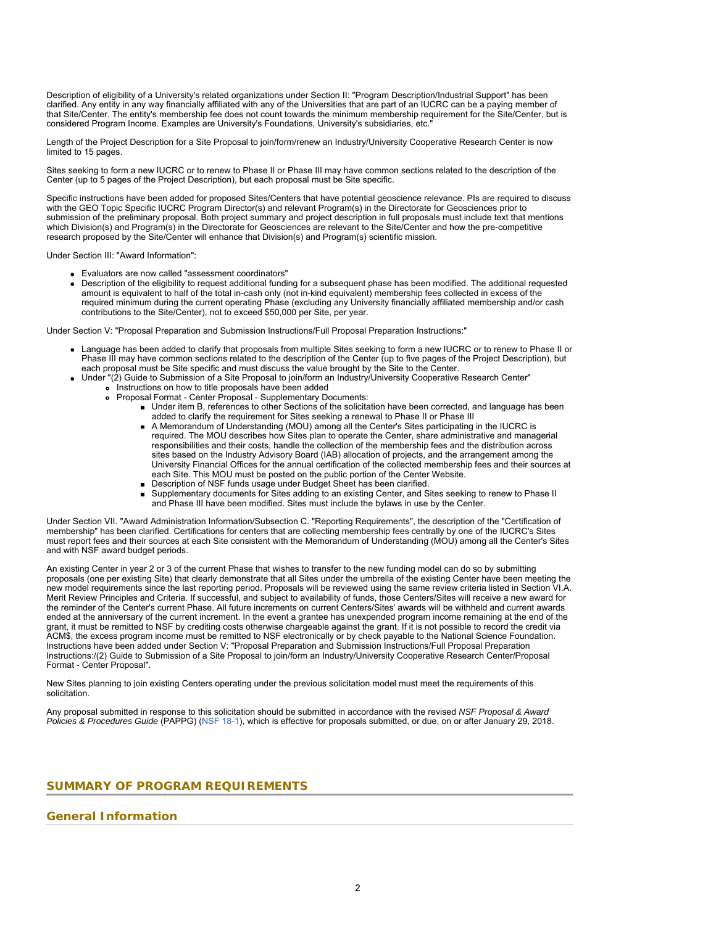Description of eligibility of a University's related organizations under Section II: "Program Description/Industrial Support" has been clarified. Any entity in any way financially affiliated with any of the Universities that are part of an IUCRC can be a paying member of that Site/Center. The entity's membership fee does not count towards the minimum membership requirement for the Site/Center, but is considered Program Income. Examples are University's Foundations, University's subsidiaries, etc."

Length of the Project Description for a Site Proposal to join/form/renew an Industry/University Cooperative Research Center is now limited to 15 pages.

Sites seeking to form a new IUCRC or to renew to Phase II or Phase III may have common sections related to the description of the Center (up to 5 pages of the Project Description), but each proposal must be Site specific.

Specific instructions have been added for proposed Sites/Centers that have potential geoscience relevance. PIs are required to discuss with the GEO Topic Specific IUCRC Program Director(s) and relevant Program(s) in the Directorate for Geosciences prior to submission of the preliminary proposal. Both project summary and project description in full proposals must include text that mentions which Division(s) and Program(s) in the Directorate for Geosciences are relevant to the Site/Center and how the pre-competitive research proposed by the Site/Center will enhance that Division(s) and Program(s) scientific mission.

Under Section III: "Award Information":

- Evaluators are now called "assessment coordinators"
- Description of the eligibility to request additional funding for a subsequent phase has been modified. The additional requested amount is equivalent to half of the total in-cash only (not in-kind equivalent) membership fees collected in excess of the required minimum during the current operating Phase (excluding any University financially affiliated membership and/or cash contributions to the Site/Center), not to exceed \$50,000 per Site, per year.

Under Section V: "Proposal Preparation and Submission Instructions/Full Proposal Preparation Instructions:"

- Language has been added to clarify that proposals from multiple Sites seeking to form a new IUCRC or to renew to Phase II or Phase III may have common sections related to the description of the Center (up to five pages of the Project Description), but each proposal must be Site specific and must discuss the value brought by the Site to the Center.
- Under "(2) Guide to Submission of a Site Proposal to join/form an Industry/University Cooperative Research Center"
	- o Instructions on how to title proposals have been added
	- Proposal Format Center Proposal Supplementary Documents:
		- Under item B, references to other Sections of the solicitation have been corrected, and language has been added to clarify the requirement for Sites seeking a renewal to Phase II or Phase III
		- A Memorandum of Understanding (MOU) among all the Center's Sites participating in the IUCRC is  $\blacksquare$ required. The MOU describes how Sites plan to operate the Center, share administrative and managerial responsibilities and their costs, handle the collection of the membership fees and the distribution across sites based on the Industry Advisory Board (IAB) allocation of projects, and the arrangement among the University Financial Offices for the annual certification of the collected membership fees and their sources at each Site. This MOU must be posted on the public portion of the Center Website.
		- Description of NSF funds usage under Budget Sheet has been clarified.
		- Supplementary documents for Sites adding to an existing Center, and Sites seeking to renew to Phase II and Phase III have been modified. Sites must include the bylaws in use by the Center.

Under Section VII. "Award Administration Information/Subsection C. "Reporting Requirements", the description of the "Certification of membership" has been clarified. Certifications for centers that are collecting membership fees centrally by one of the IUCRC's Sites must report fees and their sources at each Site consistent with the Memorandum of Understanding (MOU) among all the Center's Sites and with NSF award budget periods.

An existing Center in year 2 or 3 of the current Phase that wishes to transfer to the new funding model can do so by submitting proposals (one per existing Site) that clearly demonstrate that all Sites under the umbrella of the existing Center have been meeting the new model requirements since the last reporting period. Proposals will be reviewed using the same review criteria listed in Section VI.A. Merit Review Principles and Criteria. If successful, and subject to availability of funds, those Centers/Sites will receive a new award for the reminder of the Center's current Phase. All future increments on current Centers/Sites' awards will be withheld and current awards ended at the anniversary of the current increment. In the event a grantee has unexpended program income remaining at the end of the grant, it must be remitted to NSF by crediting costs otherwise chargeable against the grant. If it is not possible to record the credit via ACM\$, the excess program income must be remitted to NSF electronically or by check payable to the National Science Foundation. Instructions have been added under Section V: "Proposal Preparation and Submission Instructions/Full Proposal Preparation Instructions:/(2) Guide to Submission of a Site Proposal to join/form an Industry/University Cooperative Research Center/Proposal Format - Center Proposal".

New Sites planning to join existing Centers operating under the previous solicitation model must meet the requirements of this solicitation.

<span id="page-1-0"></span>Any proposal submitted in response to this solicitation should be submitted in accordance with the revised *NSF Proposal & Award Policies & Procedures Guide* (PAPPG) ([NSF 18-1\)](https://www.nsf.gov/publications/pub_summ.jsp?ods_key=nsf18001), which is effective for proposals submitted, or due, on or after January 29, 2018.

# **SUMMARY OF PROGRAM REQUIREMENTS**

# **General Information**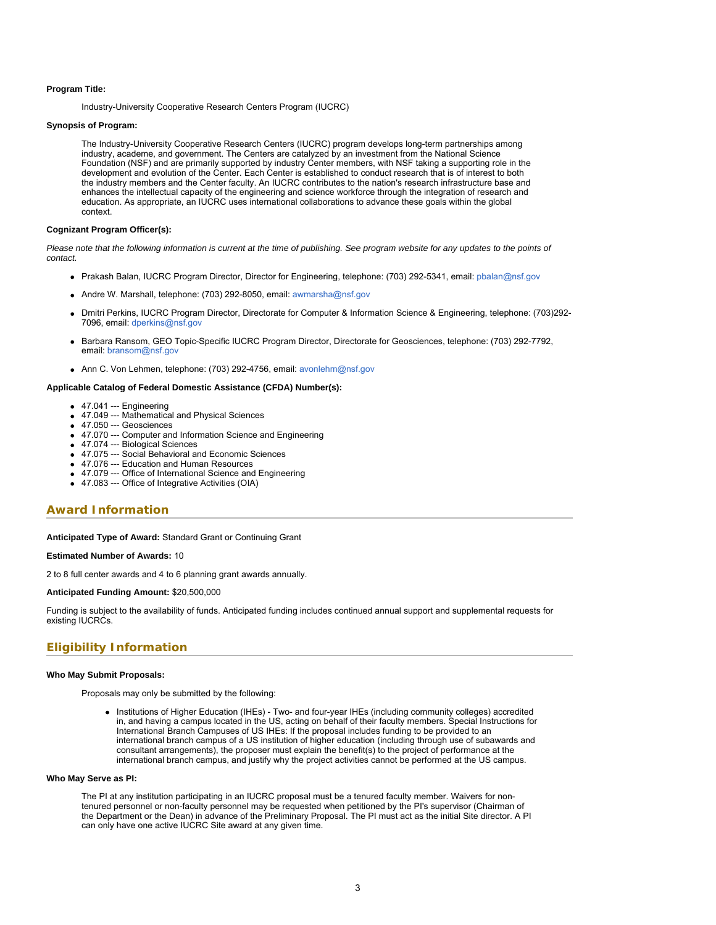# **Program Title:**

Industry-University Cooperative Research Centers Program (IUCRC)

#### **Synopsis of Program:**

The Industry-University Cooperative Research Centers (IUCRC) program develops long-term partnerships among industry, academe, and government. The Centers are catalyzed by an investment from the National Science Foundation (NSF) and are primarily supported by industry Center members, with NSF taking a supporting role in the development and evolution of the Center. Each Center is established to conduct research that is of interest to both the industry members and the Center faculty. An IUCRC contributes to the nation's research infrastructure base and enhances the intellectual capacity of the engineering and science workforce through the integration of research and education. As appropriate, an IUCRC uses international collaborations to advance these goals within the global context.

# **Cognizant Program Officer(s):**

*Please note that the following information is current at the time of publishing. See program website for any updates to the points of contact.*

- Prakash Balan, IUCRC Program Director, Director for Engineering, telephone: (703) 292-5341, email: [pbalan@nsf.gov](mailto:pbalan@nsf.gov)
- Andre W. Marshall, telephone: (703) 292-8050, email: [awmarsha@nsf.gov](mailto:awmarsha@nsf.gov)
- Dmitri Perkins, IUCRC Program Director, Directorate for Computer & Information Science & Engineering, telephone: (703)292- 7096, email: [dperkins@nsf.gov](mailto:dperkins@nsf.gov)
- Barbara Ransom, GEO Topic-Specific IUCRC Program Director, Directorate for Geosciences, telephone: (703) 292-7792, email: [bransom@nsf.gov](mailto:bransom@nsf.gov)
- Ann C. Von Lehmen, telephone: (703) 292-4756, email: [avonlehm@nsf.gov](mailto:avonlehm@nsf.gov)

### **Applicable Catalog of Federal Domestic Assistance (CFDA) Number(s):**

- 47.041 --- Engineering
- 47.049 --- Mathematical and Physical Sciences
- 47.050 --- Geosciences
- 47.070 --- Computer and Information Science and Engineering
- 47.074 --- Biological Sciences
- 47.075 --- Social Behavioral and Economic Sciences
- 47.076 --- Education and Human Resources
- 47.079 --- Office of International Science and Engineering
- 47.083 --- Office of Integrative Activities (OIA)

# **Award Information**

**Anticipated Type of Award:** Standard Grant or Continuing Grant

#### **Estimated Number of Awards:** 10

2 to 8 full center awards and 4 to 6 planning grant awards annually.

# **Anticipated Funding Amount:** \$20,500,000

Funding is subject to the availability of funds. Anticipated funding includes continued annual support and supplemental requests for existing IUCRCs.

# **Eligibility Information**

## **Who May Submit Proposals:**

Proposals may only be submitted by the following:

Institutions of Higher Education (IHEs) - Two- and four-year IHEs (including community colleges) accredited in, and having a campus located in the US, acting on behalf of their faculty members. Special Instructions for International Branch Campuses of US IHEs: If the proposal includes funding to be provided to an international branch campus of a US institution of higher education (including through use of subawards and consultant arrangements), the proposer must explain the benefit(s) to the project of performance at the international branch campus, and justify why the project activities cannot be performed at the US campus.

#### **Who May Serve as PI:**

The PI at any institution participating in an IUCRC proposal must be a tenured faculty member. Waivers for nontenured personnel or non-faculty personnel may be requested when petitioned by the PI's supervisor (Chairman of the Department or the Dean) in advance of the Preliminary Proposal. The PI must act as the initial Site director. A PI can only have one active IUCRC Site award at any given time.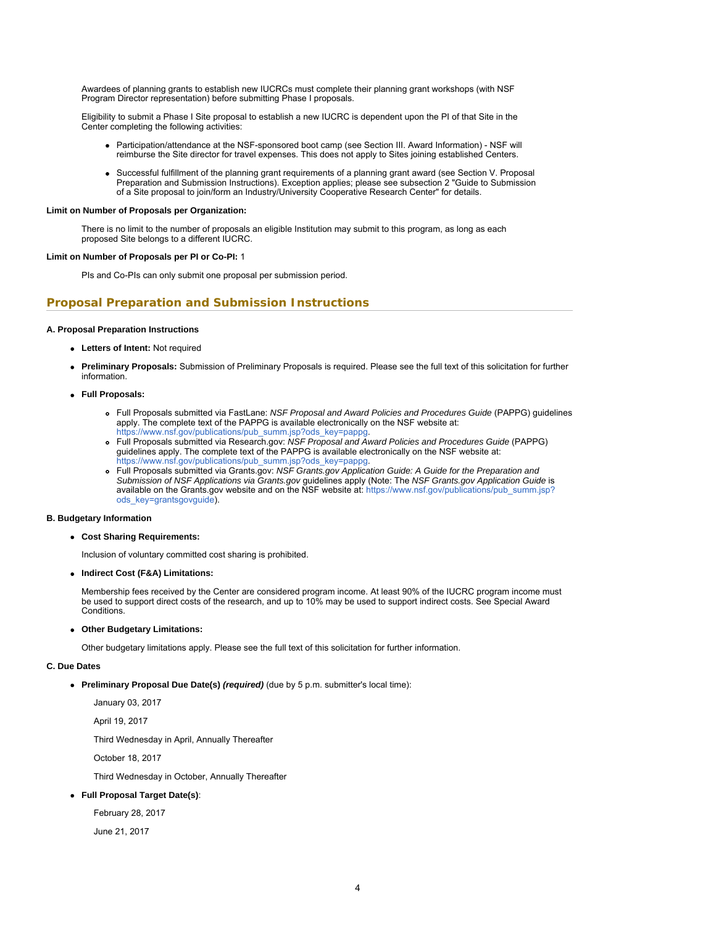Awardees of planning grants to establish new IUCRCs must complete their planning grant workshops (with NSF Program Director representation) before submitting Phase I proposals.

Eligibility to submit a Phase I Site proposal to establish a new IUCRC is dependent upon the PI of that Site in the Center completing the following activities:

- Participation/attendance at the NSF-sponsored boot camp (see Section III. Award Information) NSF will reimburse the Site director for travel expenses. This does not apply to Sites joining established Centers.
- Successful fulfillment of the planning grant requirements of a planning grant award (see Section V. Proposal Preparation and Submission Instructions). Exception applies; please see subsection 2 "Guide to Submission of a Site proposal to join/form an Industry/University Cooperative Research Center" for details.

### **Limit on Number of Proposals per Organization:**

There is no limit to the number of proposals an eligible Institution may submit to this program, as long as each proposed Site belongs to a different IUCRC.

# **Limit on Number of Proposals per PI or Co-PI:** 1

PIs and Co-PIs can only submit one proposal per submission period.

# **Proposal Preparation and Submission Instructions**

# **A. Proposal Preparation Instructions**

- **Letters of Intent:** Not required
- **Preliminary Proposals:** Submission of Preliminary Proposals is required. Please see the full text of this solicitation for further information.
- **Full Proposals:**
	- Full Proposals submitted via FastLane: *NSF Proposal and Award Policies and Procedures Guide* (PAPPG) guidelines apply. The complete text of the PAPPG is available electronically on the NSF website at: https://www.nsf.gov/publications/pub\_summ.jsp?ods\_key=pappg
	- Full Proposals submitted via Research.gov: *NSF Proposal and Award Policies and Procedures Guide* (PAPPG) guidelines apply. The complete text of the PAPPG is available electronically on the NSF website at: [https://www.nsf.gov/publications/pub\\_summ.jsp?ods\\_key=pappg.](https://www.nsf.gov/publications/pub_summ.jsp?ods_key=pappg)
	- Full Proposals submitted via Grants.gov: *NSF Grants.gov Application Guide: A Guide for the Preparation and Submission of NSF Applications via Grants.gov* guidelines apply (Note: The *NSF Grants.gov Application Guide* is available on the Grants.gov website and on the NSF website at: [https://www.nsf.gov/publications/pub\\_summ.jsp?](https://www.nsf.gov/publications/pub_summ.jsp?ods_key=grantsgovguide) [ods\\_key=grantsgovguide](https://www.nsf.gov/publications/pub_summ.jsp?ods_key=grantsgovguide)).

# **B. Budgetary Information**

**Cost Sharing Requirements:**

Inclusion of voluntary committed cost sharing is prohibited.

**Indirect Cost (F&A) Limitations:**

Membership fees received by the Center are considered program income. At least 90% of the IUCRC program income must be used to support direct costs of the research, and up to 10% may be used to support indirect costs. See Special Award Conditions.

**Other Budgetary Limitations:**

Other budgetary limitations apply. Please see the full text of this solicitation for further information.

# **C. Due Dates**

**Preliminary Proposal Due Date(s)** *(required)* (due by 5 p.m. submitter's local time):

January 03, 2017

April 19, 2017

Third Wednesday in April, Annually Thereafter

October 18, 2017

Third Wednesday in October, Annually Thereafter

# **Full Proposal Target Date(s)**:

February 28, 2017

June 21, 2017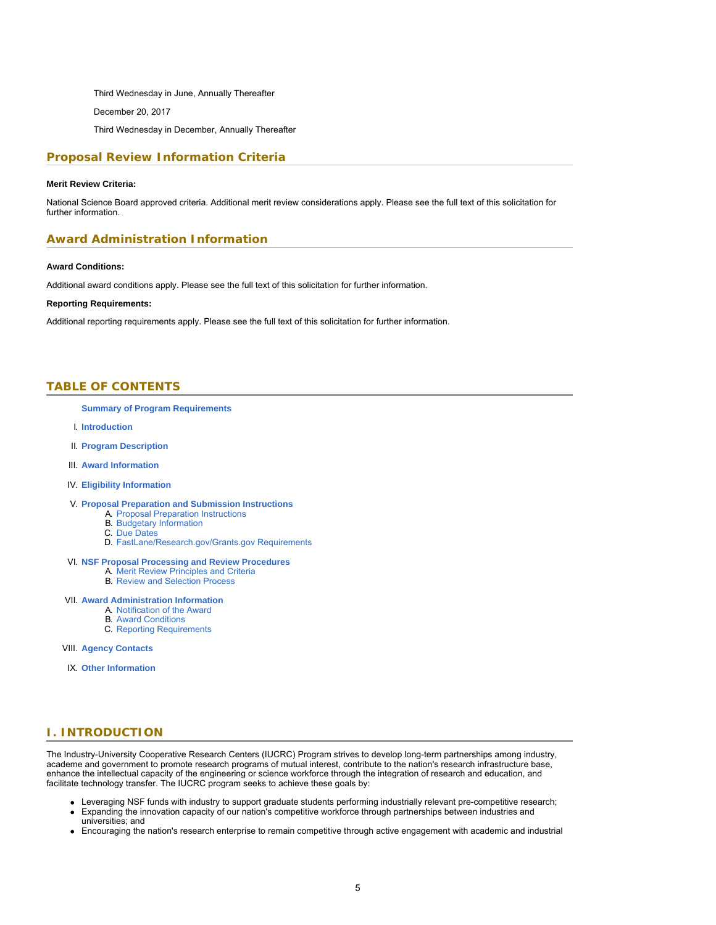Third Wednesday in June, Annually Thereafter

December 20, 2017

Third Wednesday in December, Annually Thereafter

# **Proposal Review Information Criteria**

# **Merit Review Criteria:**

National Science Board approved criteria. Additional merit review considerations apply. Please see the full text of this solicitation for further information.

# **Award Administration Information**

#### **Award Conditions:**

Additional award conditions apply. Please see the full text of this solicitation for further information.

# **Reporting Requirements:**

<span id="page-4-0"></span>Additional reporting requirements apply. Please see the full text of this solicitation for further information.

# **TABLE OF CONTENTS**

#### **[Summary of Program Requirements](#page-1-0)**

- I. **[Introduction](#page-4-1)**
- II. **[Program Description](#page-5-0)**
- III. **[Award Information](#page-7-0)**

# IV. **[Eligibility Information](#page-8-0)**

# V. **[Proposal Preparation and Submission Instructions](#page-9-0)**

- A. [Proposal Preparation Instructions](#page-9-0)
- B. [Budgetary Information](#page-15-0)
- C. [Due Dates](#page-15-1)
- D. [FastLane/Research.gov/Grants.gov Requirements](#page-16-0)

### VI. **[NSF Proposal Processing and Review Procedures](#page-16-1)**

- A. [Merit Review Principles and Criteria](#page-17-0)
- B. [Review and Selection Process](#page-18-0)

### VII. **[Award Administration Information](#page-18-1)**

- A. [Notification of the Award](#page-19-0) B. [Award Conditions](#page-19-1)
	- C. [Reporting Requirements](#page-20-0)
	-

VIII. **[Agency Contacts](#page-21-0)**

<span id="page-4-1"></span>IX. **[Other Information](#page-21-1)**

# **I. INTRODUCTION**

The Industry-University Cooperative Research Centers (IUCRC) Program strives to develop long-term partnerships among industry, academe and government to promote research programs of mutual interest, contribute to the nation's research infrastructure base, enhance the intellectual capacity of the engineering or science workforce through the integration of research and education, and facilitate technology transfer. The IUCRC program seeks to achieve these goals by:

- Leveraging NSF funds with industry to support graduate students performing industrially relevant pre-competitive research;
- Expanding the innovation capacity of our nation's competitive workforce through partnerships between industries and universities; and
- Encouraging the nation's research enterprise to remain competitive through active engagement with academic and industrial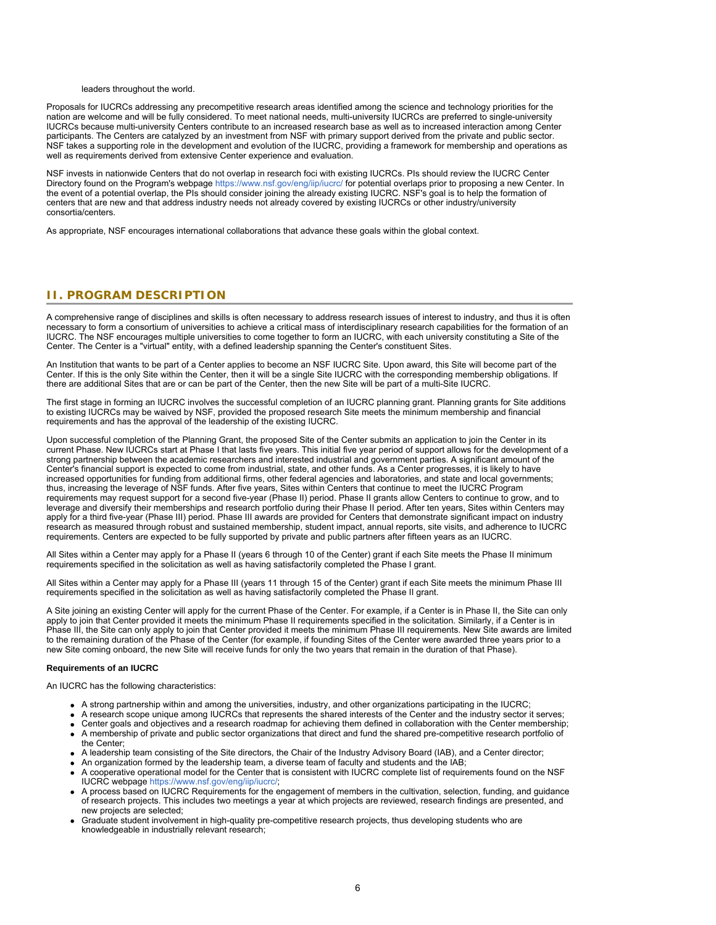### leaders throughout the world.

Proposals for IUCRCs addressing any precompetitive research areas identified among the science and technology priorities for the nation are welcome and will be fully considered. To meet national needs, multi-university IUCRCs are preferred to single-university IUCRCs because multi-university Centers contribute to an increased research base as well as to increased interaction among Center participants. The Centers are catalyzed by an investment from NSF with primary support derived from the private and public sector. NSF takes a supporting role in the development and evolution of the IUCRC, providing a framework for membership and operations as well as requirements derived from extensive Center experience and evaluation.

NSF invests in nationwide Centers that do not overlap in research foci with existing IUCRCs. PIs should review the IUCRC Center Directory found on the Program's webpage<https://www.nsf.gov/eng/iip/iucrc/> for potential overlaps prior to proposing a new Center. In the event of a potential overlap, the PIs should consider joining the already existing IUCRC. NSF's goal is to help the formation of centers that are new and that address industry needs not already covered by existing IUCRCs or other industry/university consortia/centers.

<span id="page-5-0"></span>As appropriate, NSF encourages international collaborations that advance these goals within the global context.

# **II. PROGRAM DESCRIPTION**

A comprehensive range of disciplines and skills is often necessary to address research issues of interest to industry, and thus it is often necessary to form a consortium of universities to achieve a critical mass of interdisciplinary research capabilities for the formation of an IUCRC. The NSF encourages multiple universities to come together to form an IUCRC, with each university constituting a Site of the Center. The Center is a "virtual" entity, with a defined leadership spanning the Center's constituent Sites.

An Institution that wants to be part of a Center applies to become an NSF IUCRC Site. Upon award, this Site will become part of the Center. If this is the only Site within the Center, then it will be a single Site IUCRC with the corresponding membership obligations. If there are additional Sites that are or can be part of the Center, then the new Site will be part of a multi-Site IUCRC.

The first stage in forming an IUCRC involves the successful completion of an IUCRC planning grant. Planning grants for Site additions to existing IUCRCs may be waived by NSF, provided the proposed research Site meets the minimum membership and financial requirements and has the approval of the leadership of the existing IUCRC.

Upon successful completion of the Planning Grant, the proposed Site of the Center submits an application to join the Center in its current Phase. New IUCRCs start at Phase I that lasts five years. This initial five year period of support allows for the development of a strong partnership between the academic researchers and interested industrial and government parties. A significant amount of the Center's financial support is expected to come from industrial, state, and other funds. As a Center progresses, it is likely to have increased opportunities for funding from additional firms, other federal agencies and laboratories, and state and local governments; thus, increasing the leverage of NSF funds. After five years, Sites within Centers that continue to meet the IUCRC Program requirements may request support for a second five-year (Phase II) period. Phase II grants allow Centers to continue to grow, and to leverage and diversify their memberships and research portfolio during their Phase II period. After ten years, Sites within Centers may apply for a third five-year (Phase III) period. Phase III awards are provided for Centers that demonstrate significant impact on industry research as measured through robust and sustained membership, student impact, annual reports, site visits, and adherence to IUCRC requirements. Centers are expected to be fully supported by private and public partners after fifteen years as an IUCRC.

All Sites within a Center may apply for a Phase II (years 6 through 10 of the Center) grant if each Site meets the Phase II minimum requirements specified in the solicitation as well as having satisfactorily completed the Phase I grant.

All Sites within a Center may apply for a Phase III (years 11 through 15 of the Center) grant if each Site meets the minimum Phase III requirements specified in the solicitation as well as having satisfactorily completed the Phase II grant.

A Site joining an existing Center will apply for the current Phase of the Center. For example, if a Center is in Phase II, the Site can only apply to join that Center provided it meets the minimum Phase II requirements specified in the solicitation. Similarly, if a Center is in Phase III, the Site can only apply to join that Center provided it meets the minimum Phase III requirements. New Site awards are limited to the remaining duration of the Phase of the Center (for example, if founding Sites of the Center were awarded three years prior to a new Site coming onboard, the new Site will receive funds for only the two years that remain in the duration of that Phase).

### **Requirements of an IUCRC**

An IUCRC has the following characteristics:

- A strong partnership within and among the universities, industry, and other organizations participating in the IUCRC;
- A research scope unique among IUCRCs that represents the shared interests of the Center and the industry sector it serves;
- Center goals and objectives and a research roadmap for achieving them defined in collaboration with the Center membership; A membership of private and public sector organizations that direct and fund the shared pre-competitive research portfolio of the Center;
- A leadership team consisting of the Site directors, the Chair of the Industry Advisory Board (IAB), and a Center director;
- An organization formed by the leadership team, a diverse team of faculty and students and the IAB;
- A cooperative operational model for the Center that is consistent with IUCRC complete list of requirements found on the NSF IUCRC webpage<https://www.nsf.gov/eng/iip/iucrc/>;
- A process based on IUCRC Requirements for the engagement of members in the cultivation, selection, funding, and guidance of research projects. This includes two meetings a year at which projects are reviewed, research findings are presented, and new projects are selected;
- Graduate student involvement in high-quality pre-competitive research projects, thus developing students who are knowledgeable in industrially relevant research;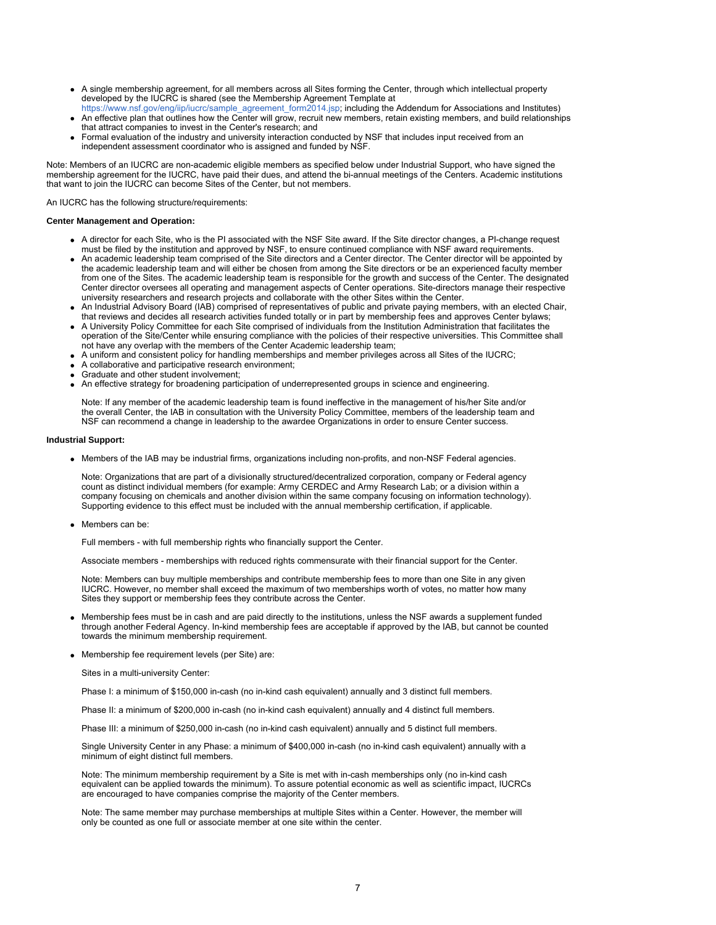- A single membership agreement, for all members across all Sites forming the Center, through which intellectual property developed by the IUCRC is shared (see the Membership Agreement Template at
- [https://www.nsf.gov/eng/iip/iucrc/sample\\_agreement\\_form2014.jsp;](https://www.nsf.gov/eng/iip/iucrc/sample_agreement_form2014.jsp) including the Addendum for Associations and Institutes) An effective plan that outlines how the Center will grow, recruit new members, retain existing members, and build relationships that attract companies to invest in the Center's research; and
- Formal evaluation of the industry and university interaction conducted by NSF that includes input received from an independent assessment coordinator who is assigned and funded by NSF.

Note: Members of an IUCRC are non-academic eligible members as specified below under Industrial Support, who have signed the membership agreement for the IUCRC, have paid their dues, and attend the bi-annual meetings of the Centers. Academic institutions that want to join the IUCRC can become Sites of the Center, but not members.

An IUCRC has the following structure/requirements:

### **Center Management and Operation:**

- A director for each Site, who is the PI associated with the NSF Site award. If the Site director changes, a PI-change request must be filed by the institution and approved by NSF, to ensure continued compliance with NSF award requirements.
- An academic leadership team comprised of the Site directors and a Center director. The Center director will be appointed by the academic leadership team and will either be chosen from among the Site directors or be an experienced faculty member from one of the Sites. The academic leadership team is responsible for the growth and success of the Center. The designated Center director oversees all operating and management aspects of Center operations. Site-directors manage their respective university researchers and research projects and collaborate with the other Sites within the Center.
- An Industrial Advisory Board (IAB) comprised of representatives of public and private paying members, with an elected Chair, that reviews and decides all research activities funded totally or in part by membership fees and approves Center bylaws;
- A University Policy Committee for each Site comprised of individuals from the Institution Administration that facilitates the operation of the Site/Center while ensuring compliance with the policies of their respective universities. This Committee shall not have any overlap with the members of the Center Academic leadership team;
- A uniform and consistent policy for handling memberships and member privileges across all Sites of the IUCRC;
- A collaborative and participative research environment;
- Graduate and other student involvement;
- An effective strategy for broadening participation of underrepresented groups in science and engineering.

Note: If any member of the academic leadership team is found ineffective in the management of his/her Site and/or the overall Center, the IAB in consultation with the University Policy Committee, members of the leadership team and NSF can recommend a change in leadership to the awardee Organizations in order to ensure Center success.

#### **Industrial Support:**

Members of the IAB may be industrial firms, organizations including non-profits, and non-NSF Federal agencies.

Note: Organizations that are part of a divisionally structured/decentralized corporation, company or Federal agency count as distinct individual members (for example: Army CERDEC and Army Research Lab; or a division within a company focusing on chemicals and another division within the same company focusing on information technology). Supporting evidence to this effect must be included with the annual membership certification, if applicable.

Members can be:

Full members - with full membership rights who financially support the Center.

Associate members - memberships with reduced rights commensurate with their financial support for the Center.

Note: Members can buy multiple memberships and contribute membership fees to more than one Site in any given IUCRC. However, no member shall exceed the maximum of two memberships worth of votes, no matter how many Sites they support or membership fees they contribute across the Center.

- Membership fees must be in cash and are paid directly to the institutions, unless the NSF awards a supplement funded through another Federal Agency. In-kind membership fees are acceptable if approved by the IAB, but cannot be counted towards the minimum membership requirement.
- Membership fee requirement levels (per Site) are:

Sites in a multi-university Center:

Phase I: a minimum of \$150,000 in-cash (no in-kind cash equivalent) annually and 3 distinct full members.

Phase II: a minimum of \$200,000 in-cash (no in-kind cash equivalent) annually and 4 distinct full members.

Phase III: a minimum of \$250,000 in-cash (no in-kind cash equivalent) annually and 5 distinct full members.

Single University Center in any Phase: a minimum of \$400,000 in-cash (no in-kind cash equivalent) annually with a minimum of eight distinct full members.

Note: The minimum membership requirement by a Site is met with in-cash memberships only (no in-kind cash equivalent can be applied towards the minimum). To assure potential economic as well as scientific impact, IUCRCs are encouraged to have companies comprise the majority of the Center members.

Note: The same member may purchase memberships at multiple Sites within a Center. However, the member will only be counted as one full or associate member at one site within the center.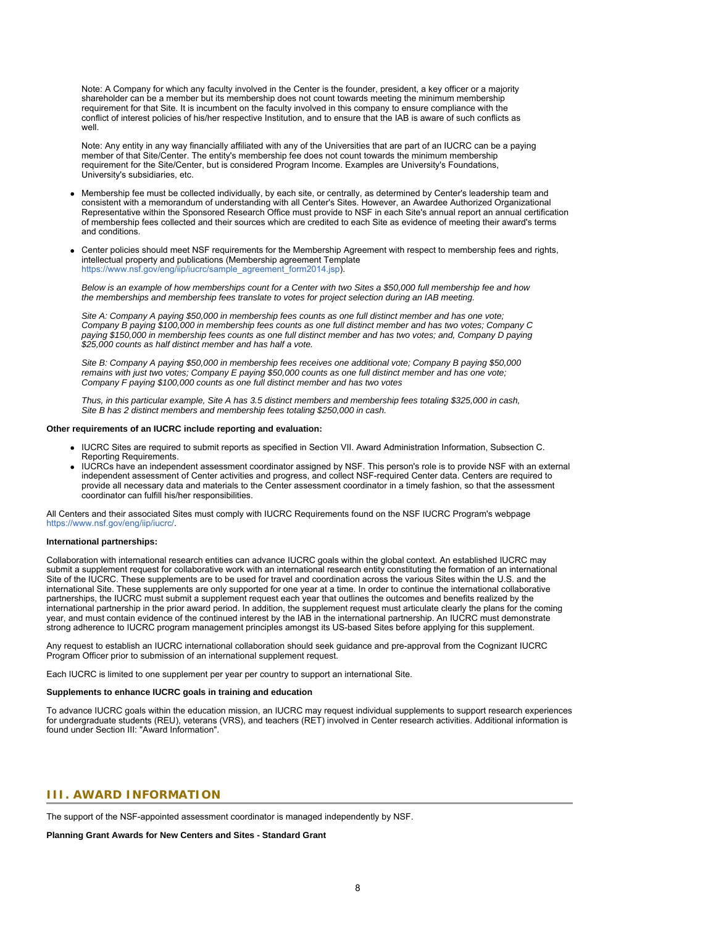Note: A Company for which any faculty involved in the Center is the founder, president, a key officer or a majority shareholder can be a member but its membership does not count towards meeting the minimum membership requirement for that Site. It is incumbent on the faculty involved in this company to ensure compliance with the conflict of interest policies of his/her respective Institution, and to ensure that the IAB is aware of such conflicts as well.

Note: Any entity in any way financially affiliated with any of the Universities that are part of an IUCRC can be a paying member of that Site/Center. The entity's membership fee does not count towards the minimum membership requirement for the Site/Center, but is considered Program Income. Examples are University's Foundations, University's subsidiaries, etc.

- Membership fee must be collected individually, by each site, or centrally, as determined by Center's leadership team and consistent with a memorandum of understanding with all Center's Sites. However, an Awardee Authorized Organizational Representative within the Sponsored Research Office must provide to NSF in each Site's annual report an annual certification of membership fees collected and their sources which are credited to each Site as evidence of meeting their award's terms and conditions.
- Center policies should meet NSF requirements for the Membership Agreement with respect to membership fees and rights, intellectual property and publications (Membership agreement Template [https://www.nsf.gov/eng/iip/iucrc/sample\\_agreement\\_form2014.jsp\)](https://www.nsf.gov/eng/iip/iucrc/sample_agreement_form2014.jsp).

*Below is an example of how memberships count for a Center with two Sites a \$50,000 full membership fee and how the memberships and membership fees translate to votes for project selection during an IAB meeting.* 

*Site A: Company A paying \$50,000 in membership fees counts as one full distinct member and has one vote; Company B paying \$100,000 in membership fees counts as one full distinct member and has two votes; Company C paying \$150,000 in membership fees counts as one full distinct member and has two votes; and, Company D paying \$25,000 counts as half distinct member and has half a vote.*

*Site B: Company A paying \$50,000 in membership fees receives one additional vote; Company B paying \$50,000 remains with just two votes; Company E paying \$50,000 counts as one full distinct member and has one vote; Company F paying \$100,000 counts as one full distinct member and has two votes*

*Thus, in this particular example, Site A has 3.5 distinct members and membership fees totaling \$325,000 in cash, Site B has 2 distinct members and membership fees totaling \$250,000 in cash.*

## **Other requirements of an IUCRC include reporting and evaluation:**

- IUCRC Sites are required to submit reports as specified in Section VII. Award Administration Information, Subsection C. Reporting Requirements.
- IUCRCs have an independent assessment coordinator assigned by NSF. This person's role is to provide NSF with an external independent assessment of Center activities and progress, and collect NSF-required Center data. Centers are required to provide all necessary data and materials to the Center assessment coordinator in a timely fashion, so that the assessment coordinator can fulfill his/her responsibilities.

All Centers and their associated Sites must comply with IUCRC Requirements found on the NSF IUCRC Program's webpage [https://www.nsf.gov/eng/iip/iucrc/.](https://www.nsf.gov/eng/iip/iucrc/)

#### **International partnerships:**

Collaboration with international research entities can advance IUCRC goals within the global context. An established IUCRC may submit a supplement request for collaborative work with an international research entity constituting the formation of an international Site of the IUCRC. These supplements are to be used for travel and coordination across the various Sites within the U.S. and the international Site. These supplements are only supported for one year at a time. In order to continue the international collaborative partnerships, the IUCRC must submit a supplement request each year that outlines the outcomes and benefits realized by the international partnership in the prior award period. In addition, the supplement request must articulate clearly the plans for the coming year, and must contain evidence of the continued interest by the IAB in the international partnership. An IUCRC must demonstrate strong adherence to IUCRC program management principles amongst its US-based Sites before applying for this supplement.

Any request to establish an IUCRC international collaboration should seek guidance and pre-approval from the Cognizant IUCRC Program Officer prior to submission of an international supplement request.

Each IUCRC is limited to one supplement per year per country to support an international Site.

# **Supplements to enhance IUCRC goals in training and education**

<span id="page-7-0"></span>To advance IUCRC goals within the education mission, an IUCRC may request individual supplements to support research experiences for undergraduate students (REU), veterans (VRS), and teachers (RET) involved in Center research activities. Additional information is found under Section III: "Award Information".

# **III. AWARD INFORMATION**

The support of the NSF-appointed assessment coordinator is managed independently by NSF.

**Planning Grant Awards for New Centers and Sites - Standard Grant**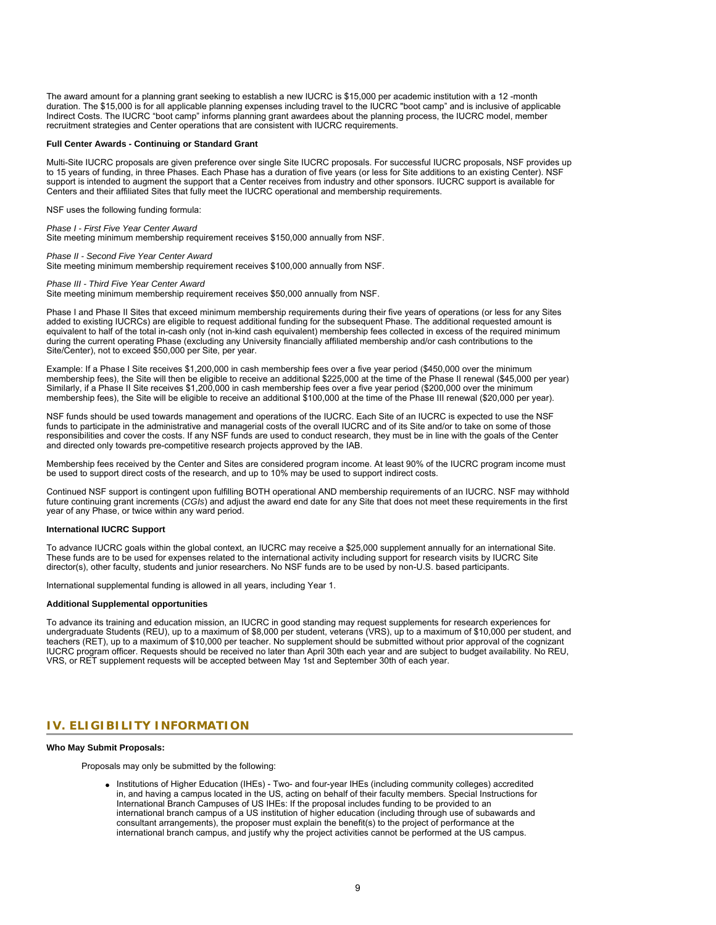The award amount for a planning grant seeking to establish a new IUCRC is \$15,000 per academic institution with a 12 -month duration. The \$15,000 is for all applicable planning expenses including travel to the IUCRC "boot camp" and is inclusive of applicable Indirect Costs. The IUCRC "boot camp" informs planning grant awardees about the planning process, the IUCRC model, member recruitment strategies and Center operations that are consistent with IUCRC requirements.

#### **Full Center Awards - Continuing or Standard Grant**

Multi-Site IUCRC proposals are given preference over single Site IUCRC proposals. For successful IUCRC proposals, NSF provides up to 15 years of funding, in three Phases. Each Phase has a duration of five years (or less for Site additions to an existing Center). NSF support is intended to augment the support that a Center receives from industry and other sponsors. IUCRC support is available for Centers and their affiliated Sites that fully meet the IUCRC operational and membership requirements.

NSF uses the following funding formula:

*Phase I - First Five Year Center Award* Site meeting minimum membership requirement receives \$150,000 annually from NSF.

*Phase II - Second Five Year Center Award*

Site meeting minimum membership requirement receives \$100,000 annually from NSF.

### *Phase III - Third Five Year Center Award*

Site meeting minimum membership requirement receives \$50,000 annually from NSF.

Phase I and Phase II Sites that exceed minimum membership requirements during their five years of operations (or less for any Sites added to existing IUCRCs) are eligible to request additional funding for the subsequent Phase. The additional requested amount is equivalent to half of the total in-cash only (not in-kind cash equivalent) membership fees collected in excess of the required minimum during the current operating Phase (excluding any University financially affiliated membership and/or cash contributions to the Site/Center), not to exceed \$50,000 per Site, per year.

Example: If a Phase I Site receives \$1,200,000 in cash membership fees over a five year period (\$450,000 over the minimum membership fees), the Site will then be eligible to receive an additional \$225,000 at the time of the Phase II renewal (\$45,000 per year) Similarly, if a Phase II Site receives \$1,200,000 in cash membership fees over a five year period (\$200,000 over the minimum membership fees), the Site will be eligible to receive an additional \$100,000 at the time of the Phase III renewal (\$20,000 per year).

NSF funds should be used towards management and operations of the IUCRC. Each Site of an IUCRC is expected to use the NSF funds to participate in the administrative and managerial costs of the overall IUCRC and of its Site and/or to take on some of those responsibilities and cover the costs. If any NSF funds are used to conduct research, they must be in line with the goals of the Center and directed only towards pre-competitive research projects approved by the IAB.

Membership fees received by the Center and Sites are considered program income. At least 90% of the IUCRC program income must be used to support direct costs of the research, and up to 10% may be used to support indirect costs.

Continued NSF support is contingent upon fulfilling BOTH operational AND membership requirements of an IUCRC. NSF may withhold future continuing grant increments (*CGIs*) and adjust the award end date for any Site that does not meet these requirements in the first year of any Phase, or twice within any ward period.

#### **International IUCRC Support**

To advance IUCRC goals within the global context, an IUCRC may receive a \$25,000 supplement annually for an international Site. These funds are to be used for expenses related to the international activity including support for research visits by IUCRC Site director(s), other faculty, students and junior researchers. No NSF funds are to be used by non-U.S. based participants.

International supplemental funding is allowed in all years, including Year 1.

### **Additional Supplemental opportunities**

<span id="page-8-0"></span>To advance its training and education mission, an IUCRC in good standing may request supplements for research experiences for undergraduate Students (REU), up to a maximum of \$8,000 per student, veterans (VRS), up to a maximum of \$10,000 per student, and teachers (RET), up to a maximum of \$10,000 per teacher. No supplement should be submitted without prior approval of the cognizant IUCRC program officer. Requests should be received no later than April 30th each year and are subject to budget availability. No REU, VRS, or RET supplement requests will be accepted between May 1st and September 30th of each year.

# **IV. ELIGIBILITY INFORMATION**

#### **Who May Submit Proposals:**

Proposals may only be submitted by the following:

Institutions of Higher Education (IHEs) - Two- and four-year IHEs (including community colleges) accredited in, and having a campus located in the US, acting on behalf of their faculty members. Special Instructions for International Branch Campuses of US IHEs: If the proposal includes funding to be provided to an international branch campus of a US institution of higher education (including through use of subawards and consultant arrangements), the proposer must explain the benefit(s) to the project of performance at the international branch campus, and justify why the project activities cannot be performed at the US campus.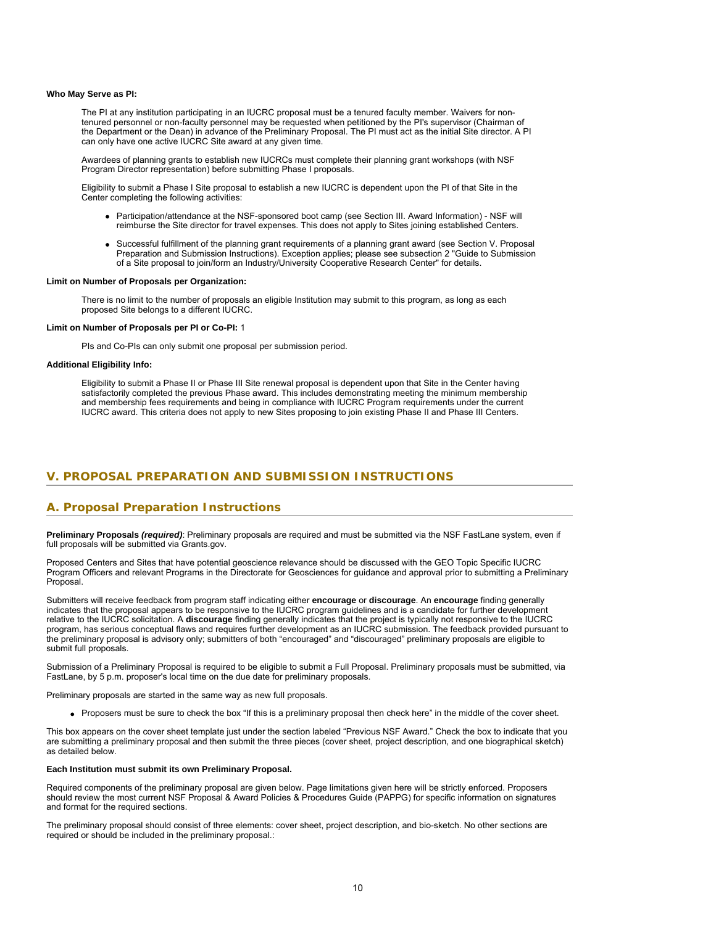### **Who May Serve as PI:**

The PI at any institution participating in an IUCRC proposal must be a tenured faculty member. Waivers for nontenured personnel or non-faculty personnel may be requested when petitioned by the PI's supervisor (Chairman of the Department or the Dean) in advance of the Preliminary Proposal. The PI must act as the initial Site director. A PI can only have one active IUCRC Site award at any given time.

Awardees of planning grants to establish new IUCRCs must complete their planning grant workshops (with NSF Program Director representation) before submitting Phase I proposals.

Eligibility to submit a Phase I Site proposal to establish a new IUCRC is dependent upon the PI of that Site in the Center completing the following activities:

- Participation/attendance at the NSF-sponsored boot camp (see Section III. Award Information) NSF will reimburse the Site director for travel expenses. This does not apply to Sites joining established Centers.
- Successful fulfillment of the planning grant requirements of a planning grant award (see Section V. Proposal Preparation and Submission Instructions). Exception applies; please see subsection 2 "Guide to Submission of a Site proposal to join/form an Industry/University Cooperative Research Center" for details.

### **Limit on Number of Proposals per Organization:**

There is no limit to the number of proposals an eligible Institution may submit to this program, as long as each proposed Site belongs to a different IUCRC.

# **Limit on Number of Proposals per PI or Co-PI:** 1

PIs and Co-PIs can only submit one proposal per submission period.

# <span id="page-9-0"></span>**Additional Eligibility Info:**

Eligibility to submit a Phase II or Phase III Site renewal proposal is dependent upon that Site in the Center having satisfactorily completed the previous Phase award. This includes demonstrating meeting the minimum membership and membership fees requirements and being in compliance with IUCRC Program requirements under the current IUCRC award. This criteria does not apply to new Sites proposing to join existing Phase II and Phase III Centers.

# **V. PROPOSAL PREPARATION AND SUBMISSION INSTRUCTIONS**

# **A. Proposal Preparation Instructions**

**Preliminary Proposals** *(required)*: Preliminary proposals are required and must be submitted via the NSF FastLane system, even if full proposals will be submitted via Grants.gov.

Proposed Centers and Sites that have potential geoscience relevance should be discussed with the GEO Topic Specific IUCRC Program Officers and relevant Programs in the Directorate for Geosciences for guidance and approval prior to submitting a Preliminary Proposal.

Submitters will receive feedback from program staff indicating either encourage or discourage. An encourage finding generally indicates that the proposal appears to be responsive to the IUCRC program guidelines and is a candidate for further development relative to the IUCRC solicitation. A **discourage** finding generally indicates that the project is typically not responsive to the IUCRC program, has serious conceptual flaws and requires further development as an IUCRC submission. The feedback provided pursuant to the preliminary proposal is advisory only; submitters of both "encouraged" and "discouraged" preliminary proposals are eligible to submit full proposals.

Submission of a Preliminary Proposal is required to be eligible to submit a Full Proposal. Preliminary proposals must be submitted, via FastLane, by 5 p.m. proposer's local time on the due date for preliminary proposals.

Preliminary proposals are started in the same way as new full proposals.

Proposers must be sure to check the box "If this is a preliminary proposal then check here" in the middle of the cover sheet.

This box appears on the cover sheet template just under the section labeled "Previous NSF Award." Check the box to indicate that you are submitting a preliminary proposal and then submit the three pieces (cover sheet, project description, and one biographical sketch) as detailed below.

# **Each Institution must submit its own Preliminary Proposal.**

Required components of the preliminary proposal are given below. Page limitations given here will be strictly enforced. Proposers should review the most current NSF Proposal & Award Policies & Procedures Guide (PAPPG) for specific information on signatures and format for the required sections.

The preliminary proposal should consist of three elements: cover sheet, project description, and bio-sketch. No other sections are required or should be included in the preliminary proposal.: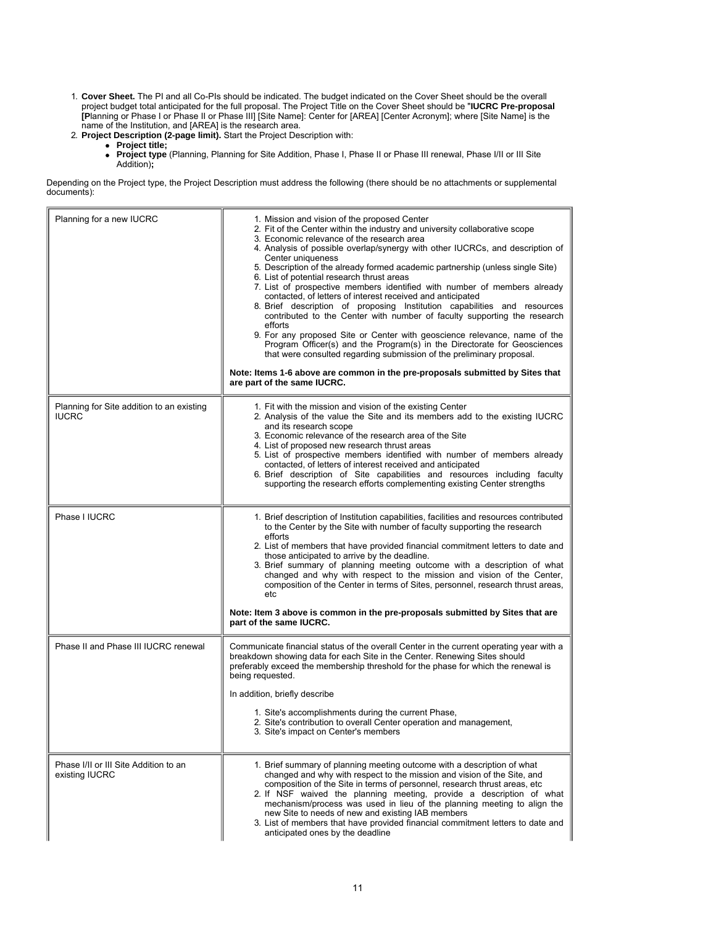- 1. **Cover Sheet.** The PI and all Co-PIs should be indicated. The budget indicated on the Cover Sheet should be the overall project budget total anticipated for the full proposal. The Project Title on the Cover Sheet should be "**IUCRC Pre-proposal [P**lanning or Phase I or Phase II or Phase III] [Site Name]: Center for [AREA] [Center Acronym]; where [Site Name] is the name of the Institution, and [AREA] is the research area.
- 2. **Project Description (2-page limit).** Start the Project Description with:
	- **Project title;**
		- **Project type** (Planning, Planning for Site Addition, Phase I, Phase II or Phase III renewal, Phase I/II or III Site Addition)**;**

Depending on the Project type, the Project Description must address the following (there should be no attachments or supplemental documents):

| Planning for a new IUCRC                                  | 1. Mission and vision of the proposed Center<br>2. Fit of the Center within the industry and university collaborative scope<br>3. Economic relevance of the research area<br>4. Analysis of possible overlap/synergy with other IUCRCs, and description of<br>Center uniqueness<br>5. Description of the already formed academic partnership (unless single Site)<br>6. List of potential research thrust areas<br>7. List of prospective members identified with number of members already<br>contacted, of letters of interest received and anticipated<br>8. Brief description of proposing Institution capabilities and resources<br>contributed to the Center with number of faculty supporting the research<br>efforts<br>9. For any proposed Site or Center with geoscience relevance, name of the<br>Program Officer(s) and the Program(s) in the Directorate for Geosciences<br>that were consulted regarding submission of the preliminary proposal.<br>Note: Items 1-6 above are common in the pre-proposals submitted by Sites that<br>are part of the same IUCRC. |
|-----------------------------------------------------------|--------------------------------------------------------------------------------------------------------------------------------------------------------------------------------------------------------------------------------------------------------------------------------------------------------------------------------------------------------------------------------------------------------------------------------------------------------------------------------------------------------------------------------------------------------------------------------------------------------------------------------------------------------------------------------------------------------------------------------------------------------------------------------------------------------------------------------------------------------------------------------------------------------------------------------------------------------------------------------------------------------------------------------------------------------------------------------|
| Planning for Site addition to an existing<br><b>IUCRC</b> | 1. Fit with the mission and vision of the existing Center<br>2. Analysis of the value the Site and its members add to the existing IUCRC<br>and its research scope<br>3. Economic relevance of the research area of the Site<br>4. List of proposed new research thrust areas<br>5. List of prospective members identified with number of members already<br>contacted, of letters of interest received and anticipated<br>6. Brief description of Site capabilities and resources including faculty<br>supporting the research efforts complementing existing Center strengths                                                                                                                                                                                                                                                                                                                                                                                                                                                                                                |
| Phase I IUCRC                                             | 1. Brief description of Institution capabilities, facilities and resources contributed<br>to the Center by the Site with number of faculty supporting the research<br>efforts<br>2. List of members that have provided financial commitment letters to date and<br>those anticipated to arrive by the deadline.<br>3. Brief summary of planning meeting outcome with a description of what<br>changed and why with respect to the mission and vision of the Center,<br>composition of the Center in terms of Sites, personnel, research thrust areas,<br>etc<br>Note: Item 3 above is common in the pre-proposals submitted by Sites that are<br>part of the same IUCRC.                                                                                                                                                                                                                                                                                                                                                                                                       |
| Phase II and Phase III IUCRC renewal                      | Communicate financial status of the overall Center in the current operating year with a<br>breakdown showing data for each Site in the Center. Renewing Sites should<br>preferably exceed the membership threshold for the phase for which the renewal is<br>being requested.<br>In addition, briefly describe<br>1. Site's accomplishments during the current Phase,<br>2. Site's contribution to overall Center operation and management,<br>3. Site's impact on Center's members                                                                                                                                                                                                                                                                                                                                                                                                                                                                                                                                                                                            |
| Phase I/II or III Site Addition to an<br>existing IUCRC   | 1. Brief summary of planning meeting outcome with a description of what<br>changed and why with respect to the mission and vision of the Site, and<br>composition of the Site in terms of personnel, research thrust areas, etc<br>2. If NSF waived the planning meeting, provide a description of what<br>mechanism/process was used in lieu of the planning meeting to align the<br>new Site to needs of new and existing IAB members<br>3. List of members that have provided financial commitment letters to date and<br>anticipated ones by the deadline                                                                                                                                                                                                                                                                                                                                                                                                                                                                                                                  |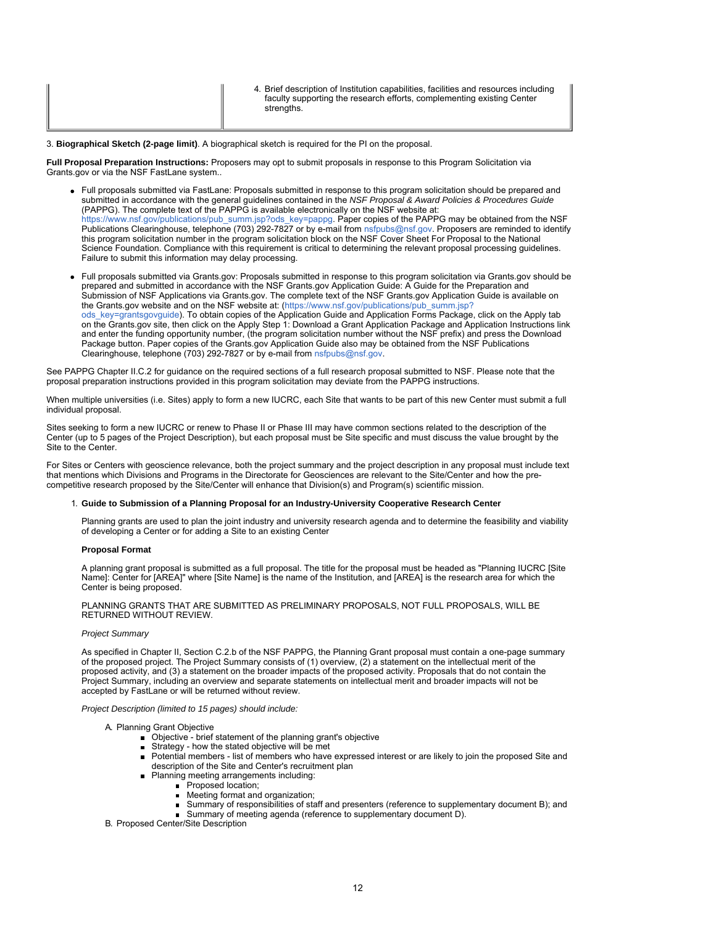| strenaths. | 4. Brief description of Institution capabilities, facilities and resources including<br>faculty supporting the research efforts, complementing existing Center |
|------------|----------------------------------------------------------------------------------------------------------------------------------------------------------------|
|------------|----------------------------------------------------------------------------------------------------------------------------------------------------------------|

#### 3. **Biographical Sketch (2-page limit)**. A biographical sketch is required for the PI on the proposal.

**Full Proposal Preparation Instructions:** Proposers may opt to submit proposals in response to this Program Solicitation via Grants.gov or via the NSF FastLane system..

- Full proposals submitted via FastLane: Proposals submitted in response to this program solicitation should be prepared and submitted in accordance with the general guidelines contained in the *NSF Proposal & Award Policies & Procedures Guide* (PAPPG). The complete text of the PAPPG is available electronically on the NSF website at: [https://www.nsf.gov/publications/pub\\_summ.jsp?ods\\_key=pappg.](https://www.nsf.gov/publications/pub_summ.jsp?ods_key=pappg) Paper copies of the PAPPG may be obtained from the NSF Publications Clearinghouse, telephone (703) 292-7827 or by e-mail from [nsfpubs@nsf.gov](mailto:nsfpubs@nsf.gov). Proposers are reminded to identify this program solicitation number in the program solicitation block on the NSF Cover Sheet For Proposal to the National Science Foundation. Compliance with this requirement is critical to determining the relevant proposal processing guidelines. Failure to submit this information may delay processing.
- Full proposals submitted via Grants.gov: Proposals submitted in response to this program solicitation via Grants.gov should be prepared and submitted in accordance with the NSF Grants.gov Application Guide: A Guide for the Preparation and Submission of NSF Applications via Grants.gov. The complete text of the NSF Grants.gov Application Guide is available on the Grants.gov website and on the NSF website at: [\(https://www.nsf.gov/publications/pub\\_summ.jsp?](https://www.nsf.gov/publications/pub_summ.jsp?ods_key=grantsgovguide) [ods\\_key=grantsgovguide](https://www.nsf.gov/publications/pub_summ.jsp?ods_key=grantsgovguide)). To obtain copies of the Application Guide and Application Forms Package, click on the Apply tab on the Grants.gov site, then click on the Apply Step 1: Download a Grant Application Package and Application Instructions link and enter the funding opportunity number, (the program solicitation number without the NSF prefix) and press the Download Package button. Paper copies of the Grants.gov Application Guide also may be obtained from the NSF Publications Clearinghouse, telephone (703) 292-7827 or by e-mail from [nsfpubs@nsf.gov](mailto:nsfpubs@nsf.gov).

See PAPPG Chapter II.C.2 for guidance on the required sections of a full research proposal submitted to NSF. Please note that the proposal preparation instructions provided in this program solicitation may deviate from the PAPPG instructions.

When multiple universities (i.e. Sites) apply to form a new IUCRC, each Site that wants to be part of this new Center must submit a full individual proposal.

Sites seeking to form a new IUCRC or renew to Phase II or Phase III may have common sections related to the description of the Center (up to 5 pages of the Project Description), but each proposal must be Site specific and must discuss the value brought by the Site to the Center.

For Sites or Centers with geoscience relevance, both the project summary and the project description in any proposal must include text that mentions which Divisions and Programs in the Directorate for Geosciences are relevant to the Site/Center and how the precompetitive research proposed by the Site/Center will enhance that Division(s) and Program(s) scientific mission.

# 1. **Guide to Submission of a Planning Proposal for an Industry-University Cooperative Research Center**

Planning grants are used to plan the joint industry and university research agenda and to determine the feasibility and viability of developing a Center or for adding a Site to an existing Center

# **Proposal Format**

A planning grant proposal is submitted as a full proposal. The title for the proposal must be headed as "Planning IUCRC [Site Name]: Center for [AREA]" where [Site Name] is the name of the Institution, and [AREA] is the research area for which the Center is being proposed.

PLANNING GRANTS THAT ARE SUBMITTED AS PRELIMINARY PROPOSALS, NOT FULL PROPOSALS, WILL BE RETURNED WITHOUT REVIEW.

# *Project Summary*

As specified in Chapter II, Section C.2.b of the NSF PAPPG, the Planning Grant proposal must contain a one-page summary of the proposed project. The Project Summary consists of (1) overview, (2) a statement on the intellectual merit of the proposed activity, and (3) a statement on the broader impacts of the proposed activity. Proposals that do not contain the Project Summary, including an overview and separate statements on intellectual merit and broader impacts will not be accepted by FastLane or will be returned without review.

# *Project Description (limited to 15 pages) should include:*

# A. Planning Grant Objective

- Objective brief statement of the planning grant's objective
- Strategy how the stated objective will be met
- Potential members list of members who have expressed interest or are likely to join the proposed Site and  $\blacksquare$ description of the Site and Center's recruitment plan
- Planning meeting arrangements including:
	- Proposed location;
		- **Meeting format and organization;**
	- Summary of responsibilities of staff and presenters (reference to supplementary document B); and
	- Summary of meeting agenda (reference to supplementary document D).

B. Proposed Center/Site Description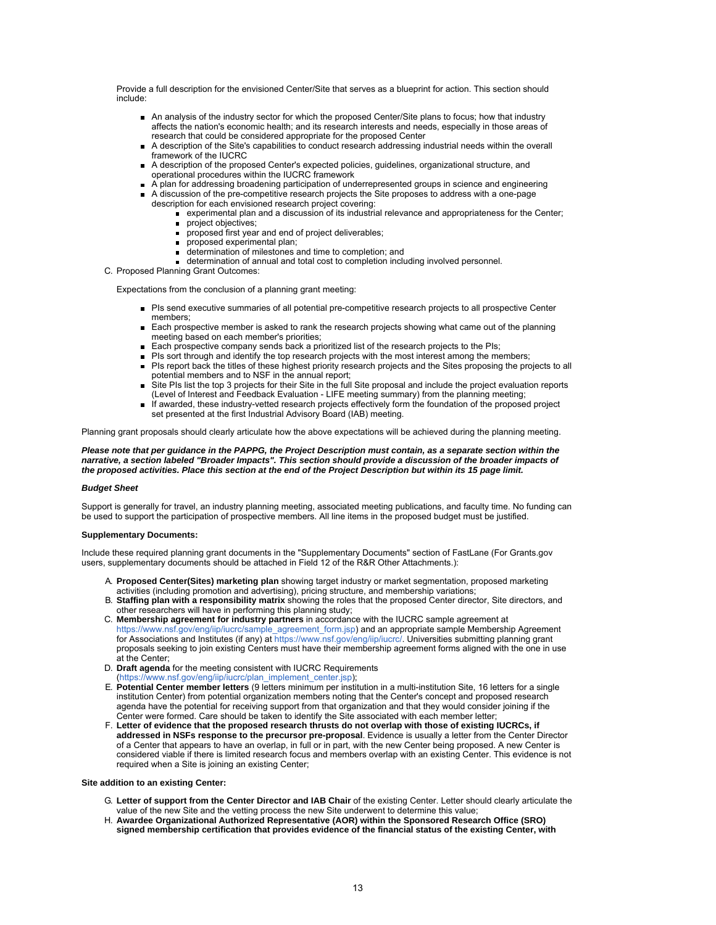Provide a full description for the envisioned Center/Site that serves as a blueprint for action. This section should include:

- An analysis of the industry sector for which the proposed Center/Site plans to focus; how that industry affects the nation's economic health; and its research interests and needs, especially in those areas of research that could be considered appropriate for the proposed Center
- A description of the Site's capabilities to conduct research addressing industrial needs within the overall framework of the IUCRC
- A description of the proposed Center's expected policies, guidelines, organizational structure, and operational procedures within the IUCRC framework
- A plan for addressing broadening participation of underrepresented groups in science and engineering
- A discussion of the pre-competitive research projects the Site proposes to address with a one-page description for each envisioned research project covering:
	- $\overline{\phantom{a}}$  experimental plan and a discussion of its industrial relevance and appropriateness for the Center;
	- project objectives;  $\blacksquare$
	- **proposed first year and end of project deliverables;**
	- $\blacksquare$ proposed experimental plan;
	- determination of milestones and time to completion; and
	- determination of annual and total cost to completion including involved personnel.
- C. Proposed Planning Grant Outcomes:

Expectations from the conclusion of a planning grant meeting:

- PIs send executive summaries of all potential pre-competitive research projects to all prospective Center members;
- Each prospective member is asked to rank the research projects showing what came out of the planning meeting based on each member's priorities;
- Each prospective company sends back a prioritized list of the research projects to the PIs;
- PIs sort through and identify the top research projects with the most interest among the members;
- PIs report back the titles of these highest priority research projects and the Sites proposing the projects to all potential members and to NSF in the annual report;
- Site PIs list the top 3 projects for their Site in the full Site proposal and include the project evaluation reports (Level of Interest and Feedback Evaluation - LIFE meeting summary) from the planning meeting;
- If awarded, these industry-vetted research projects effectively form the foundation of the proposed project set presented at the first Industrial Advisory Board (IAB) meeting.

Planning grant proposals should clearly articulate how the above expectations will be achieved during the planning meeting.

### *Please note that per guidance in the PAPPG, the Project Description must contain, as a separate section within the narrative, a section labeled "Broader Impacts". This section should provide a discussion of the broader impacts of the proposed activities. Place this section at the end of the Project Description but within its 15 page limit.*

#### *Budget Sheet*

Support is generally for travel, an industry planning meeting, associated meeting publications, and faculty time. No funding can be used to support the participation of prospective members. All line items in the proposed budget must be justified.

#### **Supplementary Documents:**

Include these required planning grant documents in the "Supplementary Documents" section of FastLane (For Grants.gov users, supplementary documents should be attached in Field 12 of the R&R Other Attachments.):

- A. **Proposed Center(Sites) marketing plan** showing target industry or market segmentation, proposed marketing activities (including promotion and advertising), pricing structure, and membership variations;
- B. **Staffing plan with a responsibility matrix** showing the roles that the proposed Center director, Site directors, and other researchers will have in performing this planning study;
- C. **Membership agreement for industry partners** in accordance with the IUCRC sample agreement at [https://www.nsf.gov/eng/iip/iucrc/sample\\_agreement\\_form.jsp](https://www.nsf.gov/eng/iip/iucrc/sample_agreement_form.jsp)) and an appropriate sample Membership Agreement for Associations and Institutes (if any) at <https://www.nsf.gov/eng/iip/iucrc/>. Universities submitting planning grant proposals seeking to join existing Centers must have their membership agreement forms aligned with the one in use at the Center;
- D. **Draft agenda** for the meeting consistent with IUCRC Requirements https://www.nsf.gov/eng/iip/iucrc/plan\_implement\_center.jsp);
- E. **Potential Center member letters** (9 letters minimum per institution in a multi-institution Site, 16 letters for a single institution Center) from potential organization members noting that the Center's concept and proposed research agenda have the potential for receiving support from that organization and that they would consider joining if the Center were formed. Care should be taken to identify the Site associated with each member letter;
- F. **Letter of evidence that the proposed research thrusts do not overlap with those of existing IUCRCs, if addressed in NSFs response to the precursor pre-proposal**. Evidence is usually a letter from the Center Director of a Center that appears to have an overlap, in full or in part, with the new Center being proposed. A new Center is considered viable if there is limited research focus and members overlap with an existing Center. This evidence is not required when a Site is joining an existing Center;

### **Site addition to an existing Center:**

- G. **Letter of support from the Center Director and IAB Chair** of the existing Center. Letter should clearly articulate the value of the new Site and the vetting process the new Site underwent to determine this value;
- H. **Awardee Organizational Authorized Representative (AOR) within the Sponsored Research Office (SRO) signed membership certification that provides evidence of the financial status of the existing Center, with**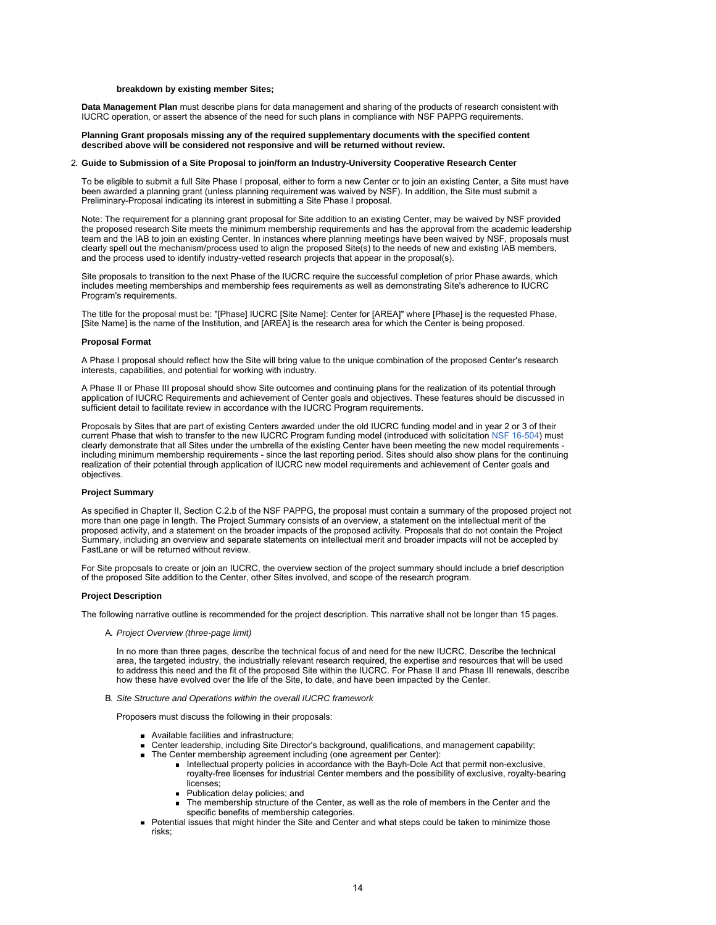## **breakdown by existing member Sites;**

**Data Management Plan** must describe plans for data management and sharing of the products of research consistent with IUCRC operation, or assert the absence of the need for such plans in compliance with NSF PAPPG requirements.

#### **Planning Grant proposals missing any of the required supplementary documents with the specified content described above will be considered not responsive and will be returned without review.**

#### 2. **Guide to Submission of a Site Proposal to join/form an Industry-University Cooperative Research Center**

To be eligible to submit a full Site Phase I proposal, either to form a new Center or to join an existing Center, a Site must have been awarded a planning grant (unless planning requirement was waived by NSF). In addition, the Site must submit a Preliminary-Proposal indicating its interest in submitting a Site Phase I proposal.

Note: The requirement for a planning grant proposal for Site addition to an existing Center, may be waived by NSF provided the proposed research Site meets the minimum membership requirements and has the approval from the academic leadership team and the IAB to join an existing Center. In instances where planning meetings have been waived by NSF, proposals must clearly spell out the mechanism/process used to align the proposed Site(s) to the needs of new and existing IAB members, and the process used to identify industry-vetted research projects that appear in the proposal(s).

Site proposals to transition to the next Phase of the IUCRC require the successful completion of prior Phase awards, which includes meeting memberships and membership fees requirements as well as demonstrating Site's adherence to IUCRC Program's requirements.

The title for the proposal must be: "[Phase] IUCRC [Site Name]: Center for [AREA]" where [Phase] is the requested Phase, [Site Name] is the name of the Institution, and [AREA] is the research area for which the Center is being proposed.

#### **Proposal Format**

A Phase I proposal should reflect how the Site will bring value to the unique combination of the proposed Center's research interests, capabilities, and potential for working with industry.

A Phase II or Phase III proposal should show Site outcomes and continuing plans for the realization of its potential through application of IUCRC Requirements and achievement of Center goals and objectives. These features should be discussed in sufficient detail to facilitate review in accordance with the IUCRC Program requirements.

Proposals by Sites that are part of existing Centers awarded under the old IUCRC funding model and in year 2 or 3 of their current Phase that wish to transfer to the new IUCRC Program funding model (introduced with solicitation [NSF 16-504](https://www.nsf.gov/publications/pub_summ.jsp?ods_key=nsf16504)) must clearly demonstrate that all Sites under the umbrella of the existing Center have been meeting the new model requirements including minimum membership requirements - since the last reporting period. Sites should also show plans for the continuing realization of their potential through application of IUCRC new model requirements and achievement of Center goals and objectives.

### **Project Summary**

As specified in Chapter II, Section C.2.b of the NSF PAPPG, the proposal must contain a summary of the proposed project not more than one page in length. The Project Summary consists of an overview, a statement on the intellectual merit of the proposed activity, and a statement on the broader impacts of the proposed activity. Proposals that do not contain the Project Summary, including an overview and separate statements on intellectual merit and broader impacts will not be accepted by FastLane or will be returned without review.

For Site proposals to create or join an IUCRC, the overview section of the project summary should include a brief description of the proposed Site addition to the Center, other Sites involved, and scope of the research program.

# **Project Description**

The following narrative outline is recommended for the project description. This narrative shall not be longer than 15 pages.

A. *Project Overview (three-page limit)*

In no more than three pages, describe the technical focus of and need for the new IUCRC. Describe the technical area, the targeted industry, the industrially relevant research required, the expertise and resources that will be used to address this need and the fit of the proposed Site within the IUCRC. For Phase II and Phase III renewals, describe how these have evolved over the life of the Site, to date, and have been impacted by the Center.

#### B. *Site Structure and Operations within the overall IUCRC framework*

Proposers must discuss the following in their proposals:

- **Available facilities and infrastructure:**
- Center leadership, including Site Director's background, qualifications, and management capability;  $\blacksquare$
- The Center membership agreement including (one agreement per Center):
	- Intellectual property policies in accordance with the Bayh-Dole Act that permit non-exclusive, royalty-free licenses for industrial Center members and the possibility of exclusive, royalty-bearing licenses;
		- **Publication delay policies; and**
	- The membership structure of the Center, as well as the role of members in the Center and the specific benefits of membership categories.
- Potential issues that might hinder the Site and Center and what steps could be taken to minimize those risks;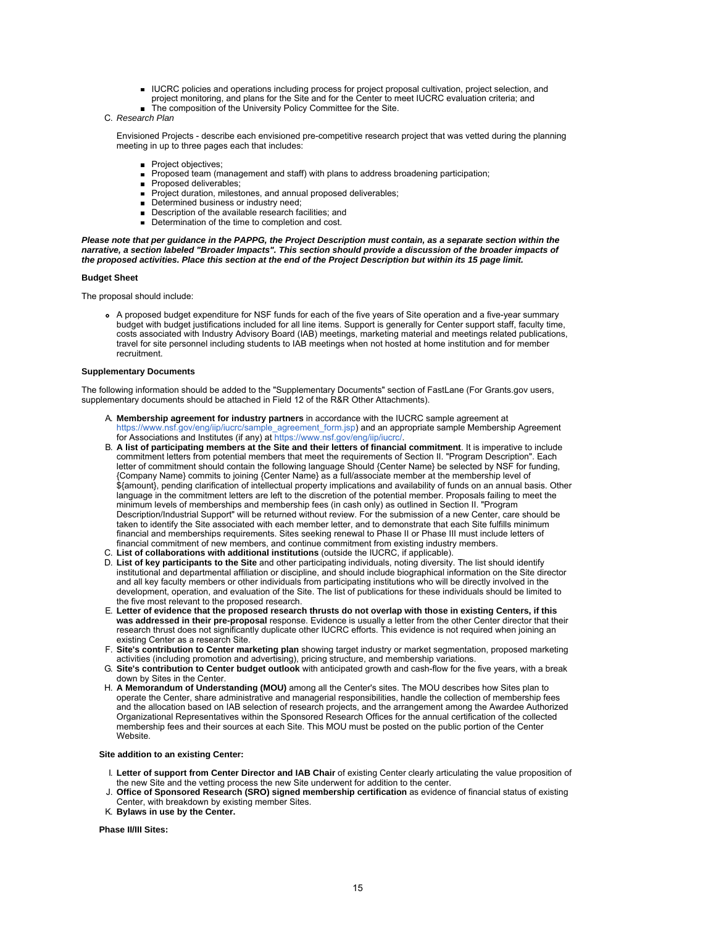- IUCRC policies and operations including process for project proposal cultivation, project selection, and project monitoring, and plans for the Site and for the Center to meet IUCRC evaluation criteria; and
- The composition of the University Policy Committee for the Site.
- C. *Research Plan*

Envisioned Projects - describe each envisioned pre-competitive research project that was vetted during the planning meeting in up to three pages each that includes:

- **Project objectives**
- Proposed team (management and staff) with plans to address broadening participation;
- Proposed deliverables;
- Project duration, milestones, and annual proposed deliverables;
- Determined business or industry need;
- Description of the available research facilities; and  $\blacksquare$
- Determination of the time to completion and cost.

*Please note that per guidance in the PAPPG, the Project Description must contain, as a separate section within the narrative, a section labeled "Broader Impacts". This section should provide a discussion of the broader impacts of the proposed activities. Place this section at the end of the Project Description but within its 15 page limit.*

#### **Budget Sheet**

The proposal should include:

A proposed budget expenditure for NSF funds for each of the five years of Site operation and a five-year summary budget with budget justifications included for all line items. Support is generally for Center support staff, faculty time, costs associated with Industry Advisory Board (IAB) meetings, marketing material and meetings related publications, travel for site personnel including students to IAB meetings when not hosted at home institution and for member recruitment.

## **Supplementary Documents**

The following information should be added to the "Supplementary Documents" section of FastLane (For Grants.gov users, supplementary documents should be attached in Field 12 of the R&R Other Attachments).

- A. **Membership agreement for industry partners** in accordance with the IUCRC sample agreement at [https://www.nsf.gov/eng/iip/iucrc/sample\\_agreement\\_form.jsp](https://www.nsf.gov/eng/iip/iucrc/sample_agreement_form.jsp)) and an appropriate sample Membership Agreement for Associations and Institutes (if any) at https://www.nsf.gov/eng/iip/iucrc
- B. **A list of participating members at the Site and their letters of financial commitment**. It is imperative to include commitment letters from potential members that meet the requirements of Section II. "Program Description". Each letter of commitment should contain the following language Should {Center Name} be selected by NSF for funding, {Company Name} commits to joining {Center Name} as a full/associate member at the membership level of \${amount}, pending clarification of intellectual property implications and availability of funds on an annual basis. Other language in the commitment letters are left to the discretion of the potential member. Proposals failing to meet the minimum levels of memberships and membership fees (in cash only) as outlined in Section II. "Program Description/Industrial Support" will be returned without review. For the submission of a new Center, care should be taken to identify the Site associated with each member letter, and to demonstrate that each Site fulfills minimum financial and memberships requirements. Sites seeking renewal to Phase II or Phase III must include letters of financial commitment of new members, and continue commitment from existing industry members.
- C. **List of collaborations with additional institutions** (outside the IUCRC, if applicable).
- D. **List of key participants to the Site** and other participating individuals, noting diversity. The list should identify institutional and departmental affiliation or discipline, and should include biographical information on the Site director and all key faculty members or other individuals from participating institutions who will be directly involved in the development, operation, and evaluation of the Site. The list of publications for these individuals should be limited to the five most relevant to the proposed research.
- E. **Letter of evidence that the proposed research thrusts do not overlap with those in existing Centers, if this was addressed in their pre-proposal** response. Evidence is usually a letter from the other Center director that their research thrust does not significantly duplicate other IUCRC efforts. This evidence is not required when joining an existing Center as a research Site.
- F. **Site's contribution to Center marketing plan** showing target industry or market segmentation, proposed marketing activities (including promotion and advertising), pricing structure, and membership variations.
- G. **Site's contribution to Center budget outlook** with anticipated growth and cash-flow for the five years, with a break down by Sites in the Center.
- H. **A Memorandum of Understanding (MOU)** among all the Center's sites. The MOU describes how Sites plan to operate the Center, share administrative and managerial responsibilities, handle the collection of membership fees and the allocation based on IAB selection of research projects, and the arrangement among the Awardee Authorized Organizational Representatives within the Sponsored Research Offices for the annual certification of the collected membership fees and their sources at each Site. This MOU must be posted on the public portion of the Center Website.

#### **Site addition to an existing Center:**

- I. **Letter of support from Center Director and IAB Chair** of existing Center clearly articulating the value proposition of the new Site and the vetting process the new Site underwent for addition to the center.
- J. **Office of Sponsored Research (SRO) signed membership certification** as evidence of financial status of existing Center, with breakdown by existing member Sites.
- K. **Bylaws in use by the Center.**

#### **Phase II/III Sites:**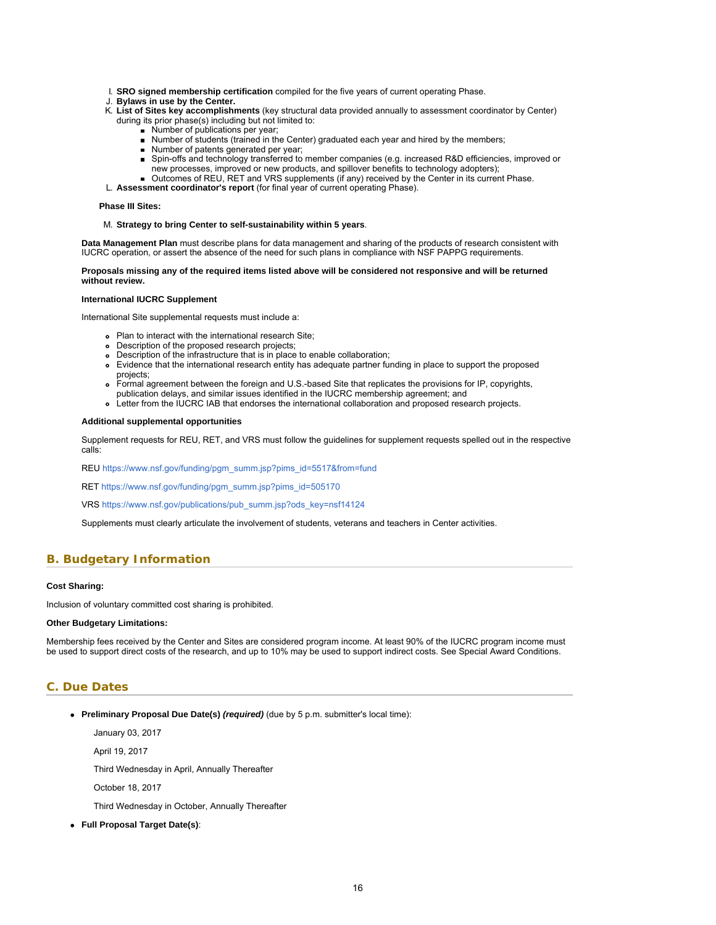- <span id="page-15-1"></span>I. **SRO signed membership certification** compiled for the five years of current operating Phase.
- J. **Bylaws in use by the Center.**
- K. **List of Sites key accomplishments** (key structural data provided annually to assessment coordinator by Center) during its prior phase(s) including but not limited to:
	- **Number of publications per year;**
	- Number of students (trained in the Center) graduated each year and hired by the members;
	- Number of patents generated per year;  $\blacksquare$
	- Spin-offs and technology transferred to member companies (e.g. increased R&D efficiencies, improved or  $\blacksquare$ new processes, improved or new products, and spillover benefits to technology adopters);
	- Outcomes of REU, RET and VRS supplements (if any) received by the Center in its current Phase.
- L. **Assessment coordinator's report** (for final year of current operating Phase).

#### **Phase III Sites:**

## M. **Strategy to bring Center to self-sustainability within 5 years**.

**Data Management Plan** must describe plans for data management and sharing of the products of research consistent with IUCRC operation, or assert the absence of the need for such plans in compliance with NSF PAPPG requirements.

### **Proposals missing any of the required items listed above will be considered not responsive and will be returned without review.**

#### **International IUCRC Supplement**

International Site supplemental requests must include a:

- Plan to interact with the international research Site;
- Description of the proposed research projects;
- Description of the infrastructure that is in place to enable collaboration;
- Evidence that the international research entity has adequate partner funding in place to support the proposed projects;
- Formal agreement between the foreign and U.S.-based Site that replicates the provisions for IP, copyrights,
- publication delays, and similar issues identified in the IUCRC membership agreement; and Letter from the IUCRC IAB that endorses the international collaboration and proposed research projects.

## **Additional supplemental opportunities**

Supplement requests for REU, RET, and VRS must follow the guidelines for supplement requests spelled out in the respective calls:

REU [https://www.nsf.gov/funding/pgm\\_summ.jsp?pims\\_id=5517&from=fund](https://www.nsf.gov/funding/pgm_summ.jsp?pims_id=5517&from=fund)

RET [https://www.nsf.gov/funding/pgm\\_summ.jsp?pims\\_id=505170](https://www.nsf.gov/funding/pgm_summ.jsp?pims_id=505170)

VRS [https://www.nsf.gov/publications/pub\\_summ.jsp?ods\\_key=nsf14124](https://www.nsf.gov/publications/pub_summ.jsp?ods_key=nsf14124)

Supplements must clearly articulate the involvement of students, veterans and teachers in Center activities.

# <span id="page-15-0"></span>**B. Budgetary Information**

#### **Cost Sharing:**

Inclusion of voluntary committed cost sharing is prohibited.

### **Other Budgetary Limitations:**

Membership fees received by the Center and Sites are considered program income. At least 90% of the IUCRC program income must be used to support direct costs of the research, and up to 10% may be used to support indirect costs. See Special Award Conditions.

# **C. Due Dates**

**Preliminary Proposal Due Date(s)** *(required)* (due by 5 p.m. submitter's local time):

January 03, 2017

April 19, 2017

Third Wednesday in April, Annually Thereafter

October 18, 2017

Third Wednesday in October, Annually Thereafter

**Full Proposal Target Date(s)**: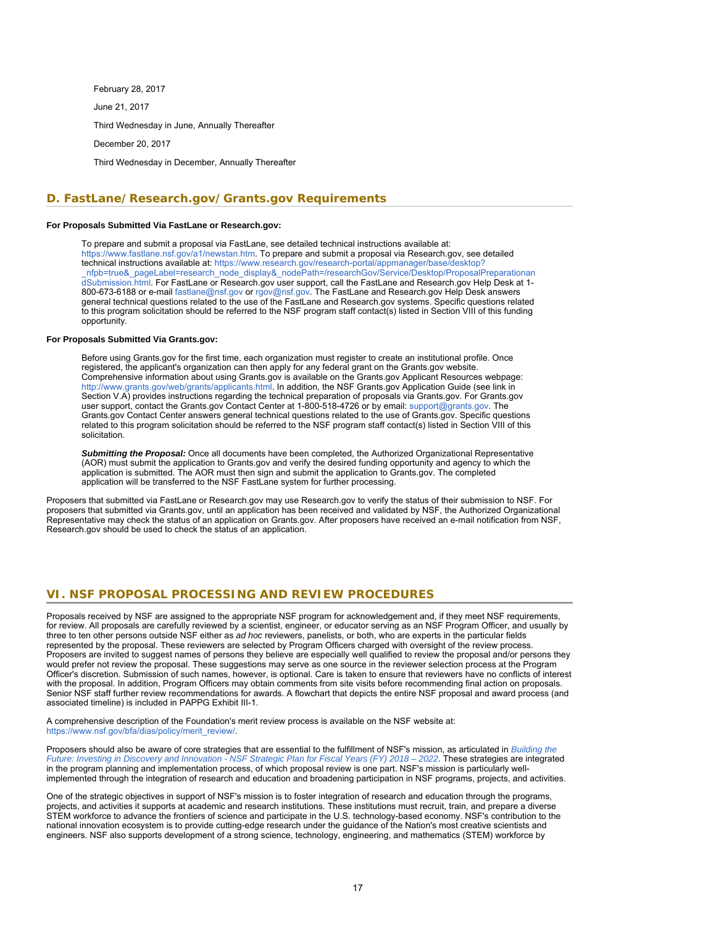February 28, 2017 June 21, 2017 Third Wednesday in June, Annually Thereafter December 20, 2017 Third Wednesday in December, Annually Thereafter

# <span id="page-16-0"></span>**D. FastLane/Research.gov/Grants.gov Requirements**

# **For Proposals Submitted Via FastLane or Research.gov:**

To prepare and submit a proposal via FastLane, see detailed technical instructions available at: <https://www.fastlane.nsf.gov/a1/newstan.htm>. To prepare and submit a proposal via Research.gov, see detailed technical instructions available at: [https://www.research.gov/research-portal/appmanager/base/desktop?](https://www.research.gov/research-portal/appmanager/base/desktop?_nfpb=true&_pageLabel=research_node_display&_nodePath=/researchGov/Service/Desktop/ProposalPreparationandSubmission.html) [\\_nfpb=true&\\_pageLabel=research\\_node\\_display&\\_nodePath=/researchGov/Service/Desktop/ProposalPreparationan](https://www.research.gov/research-portal/appmanager/base/desktop?_nfpb=true&_pageLabel=research_node_display&_nodePath=/researchGov/Service/Desktop/ProposalPreparationandSubmission.html) [dSubmission.html.](https://www.research.gov/research-portal/appmanager/base/desktop?_nfpb=true&_pageLabel=research_node_display&_nodePath=/researchGov/Service/Desktop/ProposalPreparationandSubmission.html) For FastLane or Research.gov user support, call the FastLane and Research.gov Help Desk at 1- 800-673-6188 or e-mail [fastlane@nsf.gov](mailto:fastlane@nsf.gov) or [rgov@nsf.gov](mailto:rgov@nsf.gov). The FastLane and Research.gov Help Desk answers general technical questions related to the use of the FastLane and Research.gov systems. Specific questions related to this program solicitation should be referred to the NSF program staff contact(s) listed in Section VIII of this funding opportunity.

### **For Proposals Submitted Via Grants.gov:**

Before using Grants.gov for the first time, each organization must register to create an institutional profile. Once registered, the applicant's organization can then apply for any federal grant on the Grants.gov website. Comprehensive information about using Grants.gov is available on the Grants.gov Applicant Resources webpage: [http://www.grants.gov/web/grants/applicants.html.](http://www.grants.gov/web/grants/applicants.html) In addition, the NSF Grants.gov Application Guide (see link in Section V.A) provides instructions regarding the technical preparation of proposals via Grants.gov. For Grants.gov user support, contact the Grants.gov Contact Center at 1-800-518-4726 or by email: [support@grants.gov.](mailto:support@grants.gov) The Grants.gov Contact Center answers general technical questions related to the use of Grants.gov. Specific questions related to this program solicitation should be referred to the NSF program staff contact(s) listed in Section VIII of this solicitation.

*Submitting the Proposal:* Once all documents have been completed, the Authorized Organizational Representative (AOR) must submit the application to Grants.gov and verify the desired funding opportunity and agency to which the application is submitted. The AOR must then sign and submit the application to Grants.gov. The completed application will be transferred to the NSF FastLane system for further processing.

<span id="page-16-1"></span>Proposers that submitted via FastLane or Research.gov may use Research.gov to verify the status of their submission to NSF. For proposers that submitted via Grants.gov, until an application has been received and validated by NSF, the Authorized Organizational Representative may check the status of an application on Grants.gov. After proposers have received an e-mail notification from NSF, Research.gov should be used to check the status of an application.

# **VI. NSF PROPOSAL PROCESSING AND REVIEW PROCEDURES**

Proposals received by NSF are assigned to the appropriate NSF program for acknowledgement and, if they meet NSF requirements, for review. All proposals are carefully reviewed by a scientist, engineer, or educator serving as an NSF Program Officer, and usually by three to ten other persons outside NSF either as *ad hoc* reviewers, panelists, or both, who are experts in the particular fields represented by the proposal. These reviewers are selected by Program Officers charged with oversight of the review process. Proposers are invited to suggest names of persons they believe are especially well qualified to review the proposal and/or persons they would prefer not review the proposal. These suggestions may serve as one source in the reviewer selection process at the Program Officer's discretion. Submission of such names, however, is optional. Care is taken to ensure that reviewers have no conflicts of interest with the proposal. In addition, Program Officers may obtain comments from site visits before recommending final action on proposals. Senior NSF staff further review recommendations for awards. A flowchart that depicts the entire NSF proposal and award process (and associated timeline) is included in PAPPG Exhibit III-1.

A comprehensive description of the Foundation's merit review process is available on the NSF website at: [https://www.nsf.gov/bfa/dias/policy/merit\\_review/](https://www.nsf.gov/bfa/dias/policy/merit_review/).

Proposers should also be aware of core strategies that are essential to the fulfillment of NSF's mission, as articulated in *[Building the](https://www.nsf.gov/publications/pub_summ.jsp?ods_key=nsf18045&org=NSF) [Future: Investing in Discovery and Innovation - NSF Strategic Plan for Fiscal Years \(FY\) 2018 – 2022](https://www.nsf.gov/publications/pub_summ.jsp?ods_key=nsf18045&org=NSF)*. These strategies are integrated in the program planning and implementation process, of which proposal review is one part. NSF's mission is particularly wellimplemented through the integration of research and education and broadening participation in NSF programs, projects, and activities.

One of the strategic objectives in support of NSF's mission is to foster integration of research and education through the programs, projects, and activities it supports at academic and research institutions. These institutions must recruit, train, and prepare a diverse STEM workforce to advance the frontiers of science and participate in the U.S. technology-based economy. NSF's contribution to the national innovation ecosystem is to provide cutting-edge research under the guidance of the Nation's most creative scientists and engineers. NSF also supports development of a strong science, technology, engineering, and mathematics (STEM) workforce by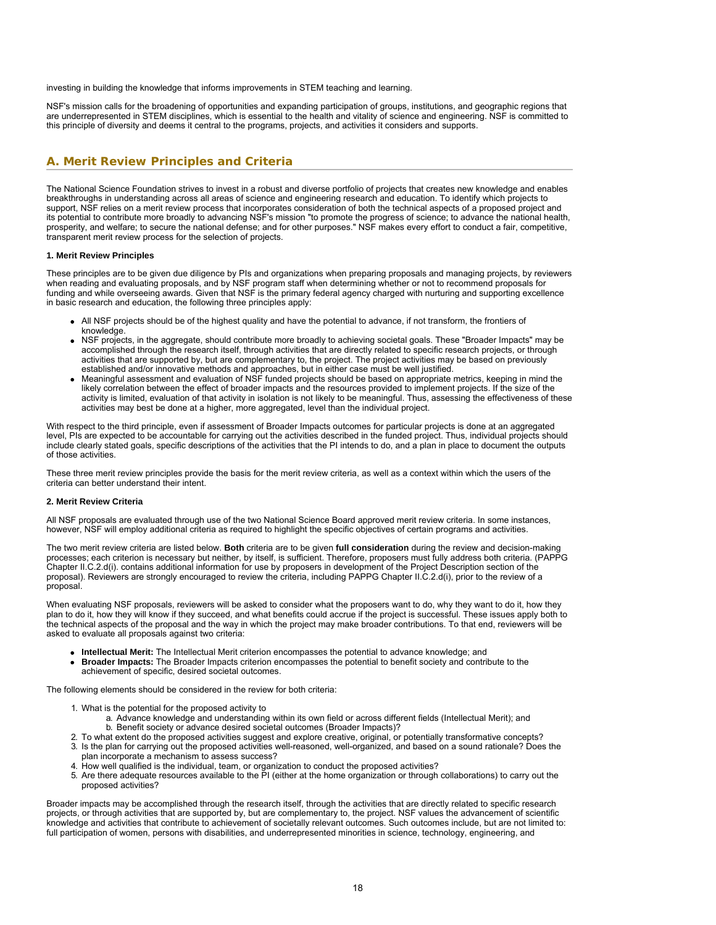investing in building the knowledge that informs improvements in STEM teaching and learning.

<span id="page-17-0"></span>NSF's mission calls for the broadening of opportunities and expanding participation of groups, institutions, and geographic regions that are underrepresented in STEM disciplines, which is essential to the health and vitality of science and engineering. NSF is committed to this principle of diversity and deems it central to the programs, projects, and activities it considers and supports.

# **A. Merit Review Principles and Criteria**

The National Science Foundation strives to invest in a robust and diverse portfolio of projects that creates new knowledge and enables breakthroughs in understanding across all areas of science and engineering research and education. To identify which projects to support, NSF relies on a merit review process that incorporates consideration of both the technical aspects of a proposed project and its potential to contribute more broadly to advancing NSF's mission "to promote the progress of science; to advance the national health, prosperity, and welfare; to secure the national defense; and for other purposes." NSF makes every effort to conduct a fair, competitive, transparent merit review process for the selection of projects.

### **1. Merit Review Principles**

These principles are to be given due diligence by PIs and organizations when preparing proposals and managing projects, by reviewers when reading and evaluating proposals, and by NSF program staff when determining whether or not to recommend proposals for funding and while overseeing awards. Given that NSF is the primary federal agency charged with nurturing and supporting excellence in basic research and education, the following three principles apply:

- All NSF projects should be of the highest quality and have the potential to advance, if not transform, the frontiers of knowledge.
- NSF projects, in the aggregate, should contribute more broadly to achieving societal goals. These "Broader Impacts" may be accomplished through the research itself, through activities that are directly related to specific research projects, or through activities that are supported by, but are complementary to, the project. The project activities may be based on previously established and/or innovative methods and approaches, but in either case must be well justified.
- Meaningful assessment and evaluation of NSF funded projects should be based on appropriate metrics, keeping in mind the likely correlation between the effect of broader impacts and the resources provided to implement projects. If the size of the activity is limited, evaluation of that activity in isolation is not likely to be meaningful. Thus, assessing the effectiveness of these activities may best be done at a higher, more aggregated, level than the individual project.

With respect to the third principle, even if assessment of Broader Impacts outcomes for particular projects is done at an aggregated level, PIs are expected to be accountable for carrying out the activities described in the funded project. Thus, individual projects should include clearly stated goals, specific descriptions of the activities that the PI intends to do, and a plan in place to document the outputs of those activities.

These three merit review principles provide the basis for the merit review criteria, as well as a context within which the users of the criteria can better understand their intent.

#### **2. Merit Review Criteria**

All NSF proposals are evaluated through use of the two National Science Board approved merit review criteria. In some instances, however, NSF will employ additional criteria as required to highlight the specific objectives of certain programs and activities.

The two merit review criteria are listed below. **Both** criteria are to be given **full consideration** during the review and decision-making processes; each criterion is necessary but neither, by itself, is sufficient. Therefore, proposers must fully address both criteria. (PAPPG Chapter II.C.2.d(i). contains additional information for use by proposers in development of the Project Description section of the proposal). Reviewers are strongly encouraged to review the criteria, including PAPPG Chapter II.C.2.d(i), prior to the review of a proposal.

When evaluating NSF proposals, reviewers will be asked to consider what the proposers want to do, why they want to do it, how they plan to do it, how they will know if they succeed, and what benefits could accrue if the project is successful. These issues apply both to the technical aspects of the proposal and the way in which the project may make broader contributions. To that end, reviewers will be asked to evaluate all proposals against two criteria:

- **Intellectual Merit:** The Intellectual Merit criterion encompasses the potential to advance knowledge; and
- **Broader Impacts:** The Broader Impacts criterion encompasses the potential to benefit society and contribute to the achievement of specific, desired societal outcomes.

The following elements should be considered in the review for both criteria:

- 1. What is the potential for the proposed activity to
	- a. Advance knowledge and understanding within its own field or across different fields (Intellectual Merit); and b. Benefit society or advance desired societal outcomes (Broader Impacts)?
- 2. To what extent do the proposed activities suggest and explore creative, original, or potentially transformative concepts?
- 3. Is the plan for carrying out the proposed activities well-reasoned, well-organized, and based on a sound rationale? Does the plan incorporate a mechanism to assess success?
- 4. How well qualified is the individual, team, or organization to conduct the proposed activities?
- 5. Are there adequate resources available to the PI (either at the home organization or through collaborations) to carry out the proposed activities?

Broader impacts may be accomplished through the research itself, through the activities that are directly related to specific research projects, or through activities that are supported by, but are complementary to, the project. NSF values the advancement of scientific knowledge and activities that contribute to achievement of societally relevant outcomes. Such outcomes include, but are not limited to: full participation of women, persons with disabilities, and underrepresented minorities in science, technology, engineering, and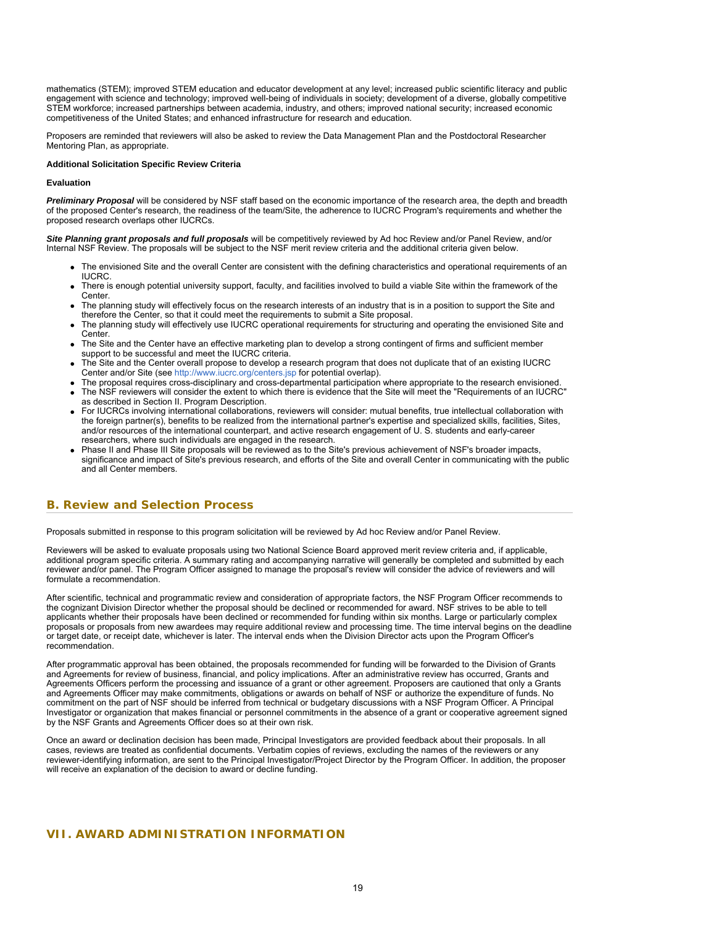mathematics (STEM); improved STEM education and educator development at any level; increased public scientific literacy and public engagement with science and technology; improved well-being of individuals in society; development of a diverse, globally competitive STEM workforce; increased partnerships between academia, industry, and others; improved national security; increased economic competitiveness of the United States; and enhanced infrastructure for research and education.

Proposers are reminded that reviewers will also be asked to review the Data Management Plan and the Postdoctoral Researcher Mentoring Plan, as appropriate.

# **Additional Solicitation Specific Review Criteria**

### **Evaluation**

*Preliminary Proposal* will be considered by NSF staff based on the economic importance of the research area, the depth and breadth of the proposed Center's research, the readiness of the team/Site, the adherence to IUCRC Program's requirements and whether the proposed research overlaps other IUCRCs.

*Site Planning grant proposals and full proposals* will be competitively reviewed by Ad hoc Review and/or Panel Review, and/or Internal NSF Review. The proposals will be subject to the NSF merit review criteria and the additional criteria given below.

- The envisioned Site and the overall Center are consistent with the defining characteristics and operational requirements of an IUCRC.
- There is enough potential university support, faculty, and facilities involved to build a viable Site within the framework of the Center.
- The planning study will effectively focus on the research interests of an industry that is in a position to support the Site and therefore the Center, so that it could meet the requirements to submit a Site proposal.
- The planning study will effectively use IUCRC operational requirements for structuring and operating the envisioned Site and Center.
- The Site and the Center have an effective marketing plan to develop a strong contingent of firms and sufficient member support to be successful and meet the IUCRC criteria.
- The Site and the Center overall propose to develop a research program that does not duplicate that of an existing IUCRC Center and/or Site (see [http://www.iucrc.org/centers.jsp](https://www.nsf.gov/cgi-bin/goodbye?http://www.iucrc.org/centers) for potential overlap).
- The proposal requires cross-disciplinary and cross-departmental participation where appropriate to the research envisioned. The NSF reviewers will consider the extent to which there is evidence that the Site will meet the "Requirements of an IUCRC"
- as described in Section II. Program Description. For IUCRCs involving international collaborations, reviewers will consider: mutual benefits, true intellectual collaboration with the foreign partner(s), benefits to be realized from the international partner's expertise and specialized skills, facilities, Sites, and/or resources of the international counterpart, and active research engagement of U. S. students and early-career researchers, where such individuals are engaged in the research.
- Phase II and Phase III Site proposals will be reviewed as to the Site's previous achievement of NSF's broader impacts, significance and impact of Site's previous research, and efforts of the Site and overall Center in communicating with the public and all Center members.

# <span id="page-18-0"></span>**B. Review and Selection Process**

Proposals submitted in response to this program solicitation will be reviewed by Ad hoc Review and/or Panel Review.

Reviewers will be asked to evaluate proposals using two National Science Board approved merit review criteria and, if applicable, additional program specific criteria. A summary rating and accompanying narrative will generally be completed and submitted by each reviewer and/or panel. The Program Officer assigned to manage the proposal's review will consider the advice of reviewers and will formulate a recommendation.

After scientific, technical and programmatic review and consideration of appropriate factors, the NSF Program Officer recommends to the cognizant Division Director whether the proposal should be declined or recommended for award. NSF strives to be able to tell applicants whether their proposals have been declined or recommended for funding within six months. Large or particularly complex proposals or proposals from new awardees may require additional review and processing time. The time interval begins on the deadline or target date, or receipt date, whichever is later. The interval ends when the Division Director acts upon the Program Officer's recommendation.

After programmatic approval has been obtained, the proposals recommended for funding will be forwarded to the Division of Grants and Agreements for review of business, financial, and policy implications. After an administrative review has occurred, Grants and Agreements Officers perform the processing and issuance of a grant or other agreement. Proposers are cautioned that only a Grants and Agreements Officer may make commitments, obligations or awards on behalf of NSF or authorize the expenditure of funds. No commitment on the part of NSF should be inferred from technical or budgetary discussions with a NSF Program Officer. A Principal Investigator or organization that makes financial or personnel commitments in the absence of a grant or cooperative agreement signed by the NSF Grants and Agreements Officer does so at their own risk.

<span id="page-18-1"></span>Once an award or declination decision has been made, Principal Investigators are provided feedback about their proposals. In all cases, reviews are treated as confidential documents. Verbatim copies of reviews, excluding the names of the reviewers or any reviewer-identifying information, are sent to the Principal Investigator/Project Director by the Program Officer. In addition, the proposer will receive an explanation of the decision to award or decline funding.

# **VII. AWARD ADMINISTRATION INFORMATION**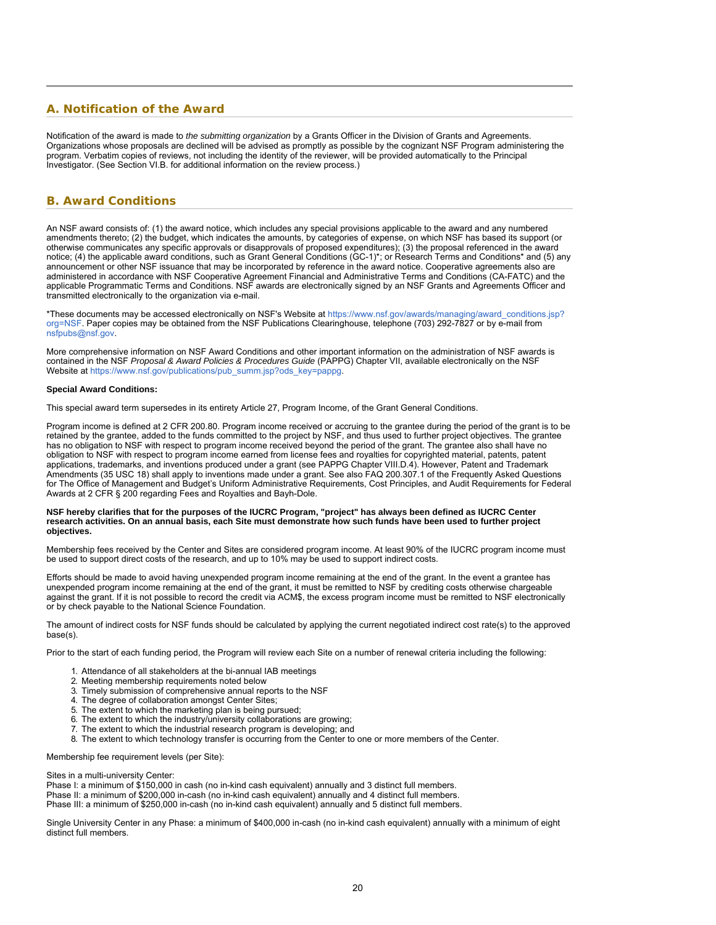# <span id="page-19-0"></span>**A. Notification of the Award**

Notification of the award is made to *the submitting organization* by a Grants Officer in the Division of Grants and Agreements. Organizations whose proposals are declined will be advised as promptly as possible by the cognizant NSF Program administering the program. Verbatim copies of reviews, not including the identity of the reviewer, will be provided automatically to the Principal Investigator. (See Section VI.B. for additional information on the review process.)

# <span id="page-19-1"></span>**B. Award Conditions**

An NSF award consists of: (1) the award notice, which includes any special provisions applicable to the award and any numbered amendments thereto; (2) the budget, which indicates the amounts, by categories of expense, on which NSF has based its support (or otherwise communicates any specific approvals or disapprovals of proposed expenditures); (3) the proposal referenced in the award notice; (4) the applicable award conditions, such as Grant General Conditions (GC-1)\*; or Research Terms and Conditions\* and (5) any announcement or other NSF issuance that may be incorporated by reference in the award notice. Cooperative agreements also are administered in accordance with NSF Cooperative Agreement Financial and Administrative Terms and Conditions (CA-FATC) and the applicable Programmatic Terms and Conditions. NSF awards are electronically signed by an NSF Grants and Agreements Officer and transmitted electronically to the organization via e-mail.

\*These documents may be accessed electronically on NSF's Website at [https://www.nsf.gov/awards/managing/award\\_conditions.jsp?](https://www.nsf.gov/awards/managing/award_conditions.jsp?org=NSF) [org=NSF.](https://www.nsf.gov/awards/managing/award_conditions.jsp?org=NSF) Paper copies may be obtained from the NSF Publications Clearinghouse, telephone (703) 292-7827 or by e-mail from [nsfpubs@nsf.gov.](mailto:nsfpubs@nsf.gov)

More comprehensive information on NSF Award Conditions and other important information on the administration of NSF awards is contained in the NSF *Proposal & Award Policies & Procedures Guide* (PAPPG) Chapter VII, available electronically on the NSF Website at [https://www.nsf.gov/publications/pub\\_summ.jsp?ods\\_key=pappg](https://www.nsf.gov/publications/pub_summ.jsp?ods_key=pappg).

### **Special Award Conditions:**

This special award term supersedes in its entirety Article 27, Program Income, of the Grant General Conditions.

Program income is defined at 2 CFR 200.80. Program income received or accruing to the grantee during the period of the grant is to be retained by the grantee, added to the funds committed to the project by NSF, and thus used to further project objectives. The grantee has no obligation to NSF with respect to program income received beyond the period of the grant. The grantee also shall have no obligation to NSF with respect to program income earned from license fees and royalties for copyrighted material, patents, patent applications, trademarks, and inventions produced under a grant (see PAPPG Chapter VIII.D.4). However, Patent and Trademark Amendments (35 USC 18) shall apply to inventions made under a grant. See also FAQ 200.307.1 of the Frequently Asked Questions for The Office of Management and Budget's Uniform Administrative Requirements, Cost Principles, and Audit Requirements for Federal Awards at 2 CFR § 200 regarding Fees and Royalties and Bayh-Dole.

#### **NSF hereby clarifies that for the purposes of the IUCRC Program, "project" has always been defined as IUCRC Center research activities. On an annual basis, each Site must demonstrate how such funds have been used to further project objectives.**

Membership fees received by the Center and Sites are considered program income. At least 90% of the IUCRC program income must be used to support direct costs of the research, and up to 10% may be used to support indirect costs.

Efforts should be made to avoid having unexpended program income remaining at the end of the grant. In the event a grantee has unexpended program income remaining at the end of the grant, it must be remitted to NSF by crediting costs otherwise chargeable against the grant. If it is not possible to record the credit via ACM\$, the excess program income must be remitted to NSF electronically or by check payable to the National Science Foundation.

The amount of indirect costs for NSF funds should be calculated by applying the current negotiated indirect cost rate(s) to the approved base(s).

Prior to the start of each funding period, the Program will review each Site on a number of renewal criteria including the following:

- 1. Attendance of all stakeholders at the bi-annual IAB meetings
- 2. Meeting membership requirements noted below<br>3. Timely submission of comprehensive annual rep
- Timely submission of comprehensive annual reports to the NSF
- 4. The degree of collaboration amongst Center Sites;
- The extent to which the marketing plan is being pursued;
- 6. The extent to which the industry/university collaborations are growing;<br>7. The extent to which the industrial research program is developing: and
- The extent to which the industrial research program is developing; and
- 8. The extent to which technology transfer is occurring from the Center to one or more members of the Center.

#### Membership fee requirement levels (per Site):

## Sites in a multi-university Center:

Phase I: a minimum of \$150,000 in cash (no in-kind cash equivalent) annually and 3 distinct full members.

Phase II: a minimum of \$200,000 in-cash (no in-kind cash equivalent) annually and 4 distinct full members.

Phase III: a minimum of \$250,000 in-cash (no in-kind cash equivalent) annually and 5 distinct full members.

Single University Center in any Phase: a minimum of \$400,000 in-cash (no in-kind cash equivalent) annually with a minimum of eight distinct full members.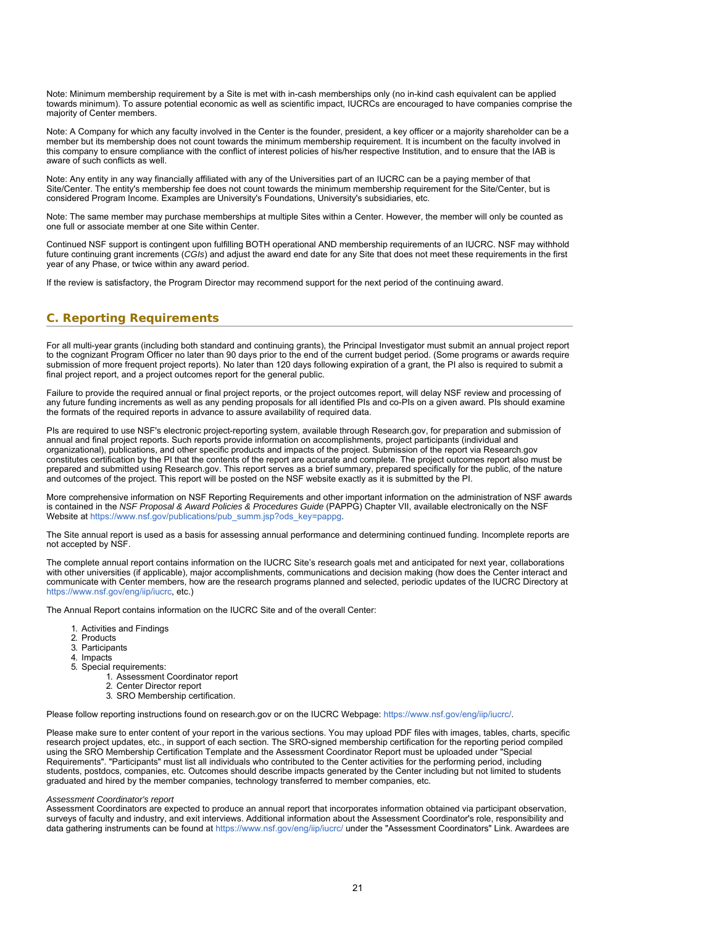Note: Minimum membership requirement by a Site is met with in-cash memberships only (no in-kind cash equivalent can be applied towards minimum). To assure potential economic as well as scientific impact, IUCRCs are encouraged to have companies comprise the majority of Center members.

Note: A Company for which any faculty involved in the Center is the founder, president, a key officer or a majority shareholder can be a member but its membership does not count towards the minimum membership requirement. It is incumbent on the faculty involved in this company to ensure compliance with the conflict of interest policies of his/her respective Institution, and to ensure that the IAB is aware of such conflicts as well.

Note: Any entity in any way financially affiliated with any of the Universities part of an IUCRC can be a paying member of that Site/Center. The entity's membership fee does not count towards the minimum membership requirement for the Site/Center, but is considered Program Income. Examples are University's Foundations, University's subsidiaries, etc.

Note: The same member may purchase memberships at multiple Sites within a Center. However, the member will only be counted as one full or associate member at one Site within Center.

Continued NSF support is contingent upon fulfilling BOTH operational AND membership requirements of an IUCRC. NSF may withhold future continuing grant increments (*CGIs*) and adjust the award end date for any Site that does not meet these requirements in the first year of any Phase, or twice within any award period.

<span id="page-20-0"></span>If the review is satisfactory, the Program Director may recommend support for the next period of the continuing award.

# **C. Reporting Requirements**

For all multi-year grants (including both standard and continuing grants), the Principal Investigator must submit an annual project report to the cognizant Program Officer no later than 90 days prior to the end of the current budget period. (Some programs or awards require submission of more frequent project reports). No later than 120 days following expiration of a grant, the PI also is required to submit a final project report, and a project outcomes report for the general public.

Failure to provide the required annual or final project reports, or the project outcomes report, will delay NSF review and processing of any future funding increments as well as any pending proposals for all identified PIs and co-PIs on a given award. PIs should examine the formats of the required reports in advance to assure availability of required data.

PIs are required to use NSF's electronic project-reporting system, available through Research.gov, for preparation and submission of annual and final project reports. Such reports provide information on accomplishments, project participants (individual and organizational), publications, and other specific products and impacts of the project. Submission of the report via Research.gov constitutes certification by the PI that the contents of the report are accurate and complete. The project outcomes report also must be prepared and submitted using Research.gov. This report serves as a brief summary, prepared specifically for the public, of the nature and outcomes of the project. This report will be posted on the NSF website exactly as it is submitted by the PI.

More comprehensive information on NSF Reporting Requirements and other important information on the administration of NSF awards is contained in the *NSF Proposal & Award Policies & Procedures Guide* (PAPPG) Chapter VII, available electronically on the NSF Website at [https://www.nsf.gov/publications/pub\\_summ.jsp?ods\\_key=pappg](https://www.nsf.gov/publications/pub_summ.jsp?ods_key=pappg).

The Site annual report is used as a basis for assessing annual performance and determining continued funding. Incomplete reports are not accepted by NSF.

The complete annual report contains information on the IUCRC Site's research goals met and anticipated for next year, collaborations with other universities (if applicable), major accomplishments, communications and decision making (how does the Center interact and communicate with Center members, how are the research programs planned and selected, periodic updates of the IUCRC Directory at [https://www.nsf.gov/eng/iip/iucrc,](https://www.nsf.gov/eng/iip/iucrc) etc.)

The Annual Report contains information on the IUCRC Site and of the overall Center:

- 1. Activities and Findings
- 2. Products
- 3. Participants
- 4. Impacts
- 5. Special requirements:
	- 1. Assessment Coordinator report
	- 2. Center Director report
	- 3. SRO Membership certification.

Please follow reporting instructions found on research.gov or on the IUCRC Webpage:<https://www.nsf.gov/eng/iip/iucrc/>.

Please make sure to enter content of your report in the various sections. You may upload PDF files with images, tables, charts, specific research project updates, etc., in support of each section. The SRO-signed membership certification for the reporting period compiled using the SRO Membership Certification Template and the Assessment Coordinator Report must be uploaded under "Special Requirements". "Participants" must list all individuals who contributed to the Center activities for the performing period, including students, postdocs, companies, etc. Outcomes should describe impacts generated by the Center including but not limited to students graduated and hired by the member companies, technology transferred to member companies, etc.

#### *Assessment Coordinator's report*

Assessment Coordinators are expected to produce an annual report that incorporates information obtained via participant observation, surveys of faculty and industry, and exit interviews. Additional information about the Assessment Coordinator's role, responsibility and data gathering instruments can be found at<https://www.nsf.gov/eng/iip/iucrc/> under the "Assessment Coordinators" Link. Awardees are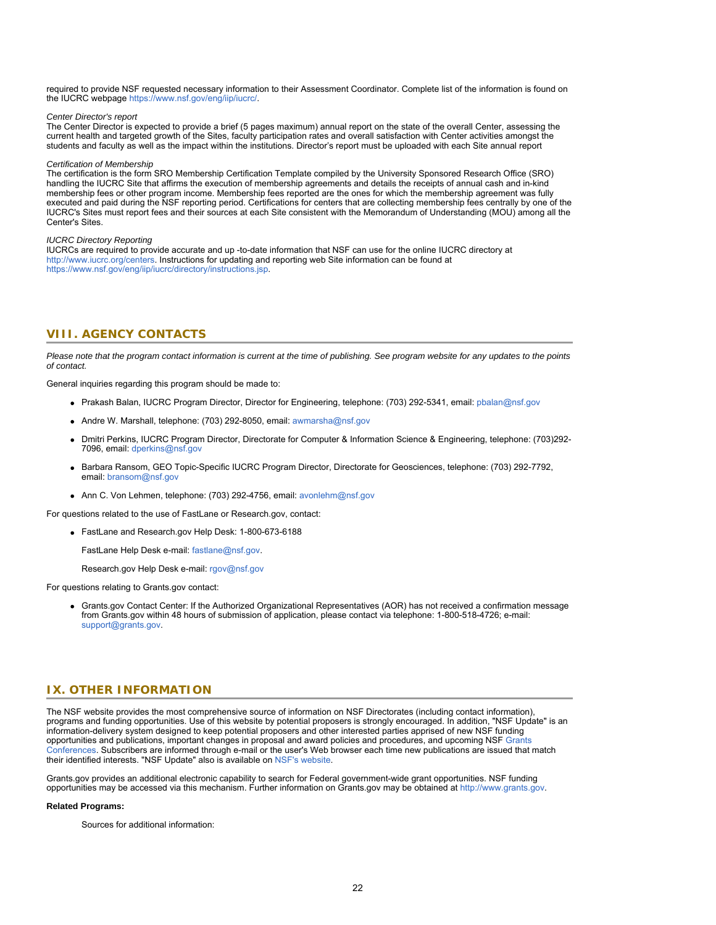required to provide NSF requested necessary information to their Assessment Coordinator. Complete list of the information is found on the IUCRC webpage<https://www.nsf.gov/eng/iip/iucrc/>.

#### *Center Director's report*

The Center Director is expected to provide a brief (5 pages maximum) annual report on the state of the overall Center, assessing the current health and targeted growth of the Sites, faculty participation rates and overall satisfaction with Center activities amongst the students and faculty as well as the impact within the institutions. Director's report must be uploaded with each Site annual report

#### *Certification of Membership*

The certification is the form SRO Membership Certification Template compiled by the University Sponsored Research Office (SRO) handling the IUCRC Site that affirms the execution of membership agreements and details the receipts of annual cash and in-kind membership fees or other program income. Membership fees reported are the ones for which the membership agreement was fully executed and paid during the NSF reporting period. Certifications for centers that are collecting membership fees centrally by one of the IUCRC's Sites must report fees and their sources at each Site consistent with the Memorandum of Understanding (MOU) among all the Center's Sites.

#### *IUCRC Directory Reporting*

<span id="page-21-0"></span>IUCRCs are required to provide accurate and up -to-date information that NSF can use for the online IUCRC directory at [http://www.iucrc.org/centers](https://www.nsf.gov/cgi-bin/goodbye?http://www.iucrc.org/centers). Instructions for updating and reporting web Site information can be found at <https://www.nsf.gov/eng/iip/iucrc/directory/instructions.jsp>.

# **VIII. AGENCY CONTACTS**

*Please note that the program contact information is current at the time of publishing. See program website for any updates to the points of contact.*

General inquiries regarding this program should be made to:

- Prakash Balan, IUCRC Program Director, Director for Engineering, telephone: (703) 292-5341, email: [pbalan@nsf.gov](mailto:pbalan@nsf.gov)
- Andre W. Marshall, telephone: (703) 292-8050, email: [awmarsha@nsf.gov](mailto:awmarsha@nsf.gov)
- Dmitri Perkins, IUCRC Program Director, Directorate for Computer & Information Science & Engineering, telephone: (703)292- 7096, email: [dperkins@nsf.gov](mailto:dperkins@nsf.gov)
- Barbara Ransom, GEO Topic-Specific IUCRC Program Director, Directorate for Geosciences, telephone: (703) 292-7792, email: [bransom@nsf.gov](mailto:bransom@nsf.gov)
- Ann C. Von Lehmen, telephone: (703) 292-4756, email: [avonlehm@nsf.gov](mailto:avonlehm@nsf.gov)

For questions related to the use of FastLane or Research.gov, contact:

- FastLane and Research.gov Help Desk: 1-800-673-6188
	- FastLane Help Desk e-mail: [fastlane@nsf.gov](mailto:fastlane@nsf.gov).
	- Research.gov Help Desk e-mail: [rgov@nsf.gov](mailto:rgov@nsf.gov)

<span id="page-21-1"></span>For questions relating to Grants.gov contact:

Grants.gov Contact Center: If the Authorized Organizational Representatives (AOR) has not received a confirmation message from Grants.gov within 48 hours of submission of application, please contact via telephone: 1-800-518-4726; e-mail: [support@grants.gov.](mailto:support@grants.gov)

# **IX. OTHER INFORMATION**

The NSF website provides the most comprehensive source of information on NSF Directorates (including contact information), programs and funding opportunities. Use of this website by potential proposers is strongly encouraged. In addition, "NSF Update" is an information-delivery system designed to keep potential proposers and other interested parties apprised of new NSF funding opportunities and publications, important changes in proposal and award policies and procedures, and upcoming NSF [Grants](https://www.nsf.gov/bfa/dias/policy/outreach.jsp) [Conferences](https://www.nsf.gov/bfa/dias/policy/outreach.jsp). Subscribers are informed through e-mail or the user's Web browser each time new publications are issued that match their identified interests. "NSF Update" also is available on [NSF's website](https://www.nsf.gov/cgi-bin/goodbye?https://public.govdelivery.com/accounts/USNSF/subscriber/new?topic_id=USNSF_179).

Grants.gov provides an additional electronic capability to search for Federal government-wide grant opportunities. NSF funding opportunities may be accessed via this mechanism. Further information on Grants.gov may be obtained at [http://www.grants.gov](http://www.grants.gov/).

#### **Related Programs:**

Sources for additional information: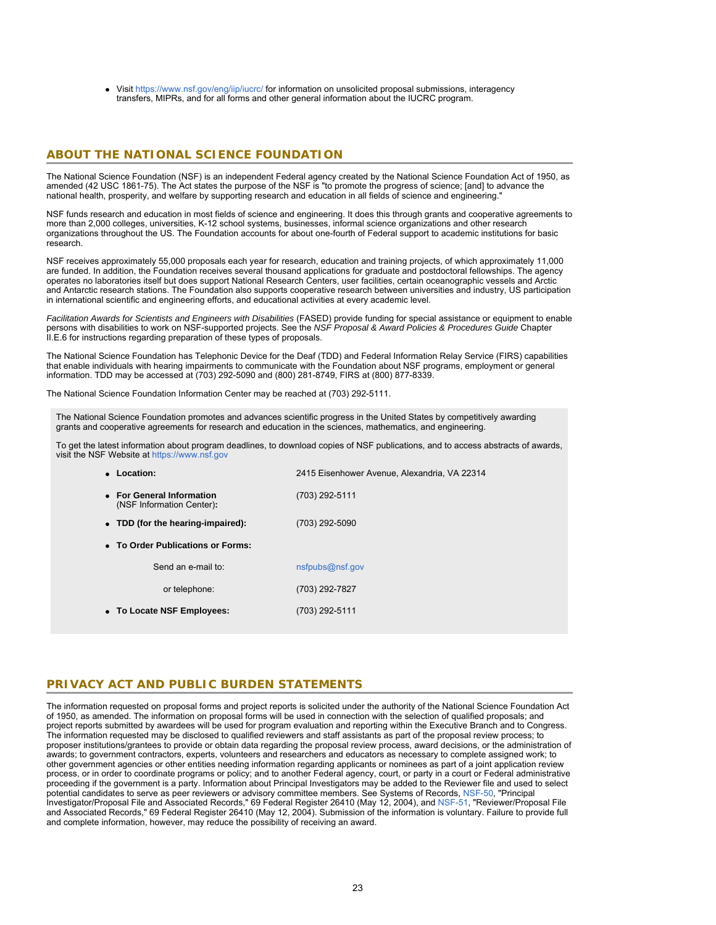Visit<https://www.nsf.gov/eng/iip/iucrc/> for information on unsolicited proposal submissions, interagency transfers, MIPRs, and for all forms and other general information about the IUCRC program.

# **ABOUT THE NATIONAL SCIENCE FOUNDATION**

The National Science Foundation (NSF) is an independent Federal agency created by the National Science Foundation Act of 1950, as amended (42 USC 1861-75). The Act states the purpose of the NSF is "to promote the progress of science; [and] to advance the national health, prosperity, and welfare by supporting research and education in all fields of science and engineering."

NSF funds research and education in most fields of science and engineering. It does this through grants and cooperative agreements to more than 2,000 colleges, universities, K-12 school systems, businesses, informal science organizations and other research organizations throughout the US. The Foundation accounts for about one-fourth of Federal support to academic institutions for basic research.

NSF receives approximately 55,000 proposals each year for research, education and training projects, of which approximately 11,000 are funded. In addition, the Foundation receives several thousand applications for graduate and postdoctoral fellowships. The agency operates no laboratories itself but does support National Research Centers, user facilities, certain oceanographic vessels and Arctic and Antarctic research stations. The Foundation also supports cooperative research between universities and industry, US participation in international scientific and engineering efforts, and educational activities at every academic level.

*Facilitation Awards for Scientists and Engineers with Disabilities* (FASED) provide funding for special assistance or equipment to enable persons with disabilities to work on NSF-supported projects. See the *NSF Proposal & Award Policies & Procedures Guide* Chapter II.E.6 for instructions regarding preparation of these types of proposals.

The National Science Foundation has Telephonic Device for the Deaf (TDD) and Federal Information Relay Service (FIRS) capabilities that enable individuals with hearing impairments to communicate with the Foundation about NSF programs, employment or general information. TDD may be accessed at (703) 292-5090 and (800) 281-8749, FIRS at (800) 877-8339.

The National Science Foundation Information Center may be reached at (703) 292-5111.

The National Science Foundation promotes and advances scientific progress in the United States by competitively awarding grants and cooperative agreements for research and education in the sciences, mathematics, and engineering.

To get the latest information about program deadlines, to download copies of NSF publications, and to access abstracts of awards, visit the NSF Website at [https://www.nsf.gov](https://www.nsf.gov/)

| • Location:                                            | 2415 Eisenhower Avenue, Alexandria, VA 22314 |  |  |  |  |  |  |
|--------------------------------------------------------|----------------------------------------------|--|--|--|--|--|--|
| • For General Information<br>(NSF Information Center): | (703) 292-5111                               |  |  |  |  |  |  |
| • TDD (for the hearing-impaired):                      | (703) 292-5090                               |  |  |  |  |  |  |
| • To Order Publications or Forms:                      |                                              |  |  |  |  |  |  |
| Send an e-mail to:                                     | nsfpubs@nsf.gov                              |  |  |  |  |  |  |
| or telephone:                                          | (703) 292-7827                               |  |  |  |  |  |  |
| • To Locate NSF Employees:                             | (703) 292-5111                               |  |  |  |  |  |  |

# **PRIVACY ACT AND PUBLIC BURDEN STATEMENTS**

The information requested on proposal forms and project reports is solicited under the authority of the National Science Foundation Act of 1950, as amended. The information on proposal forms will be used in connection with the selection of qualified proposals; and project reports submitted by awardees will be used for program evaluation and reporting within the Executive Branch and to Congress. The information requested may be disclosed to qualified reviewers and staff assistants as part of the proposal review process; to proposer institutions/grantees to provide or obtain data regarding the proposal review process, award decisions, or the administration of awards; to government contractors, experts, volunteers and researchers and educators as necessary to complete assigned work; to other government agencies or other entities needing information regarding applicants or nominees as part of a joint application review process, or in order to coordinate programs or policy; and to another Federal agency, court, or party in a court or Federal administrative proceeding if the government is a party. Information about Principal Investigators may be added to the Reviewer file and used to select potential candidates to serve as peer reviewers or advisory committee members. See Systems of Records, [NSF-50,](https://www.nsf.gov/policies/SOR_PA_NSF-50_Principal_Investigator_Proposal_File.pdf) "Principal Investigator/Proposal File and Associated Records," 69 Federal Register 26410 (May 12, 2004), and [NSF-51](https://www.nsf.gov/policies/SOR_PA_NSF-51_Reviewer_Proposal_File.pdf), "Reviewer/Proposal File and Associated Records," 69 Federal Register 26410 (May 12, 2004). Submission of the information is voluntary. Failure to provide full and complete information, however, may reduce the possibility of receiving an award.